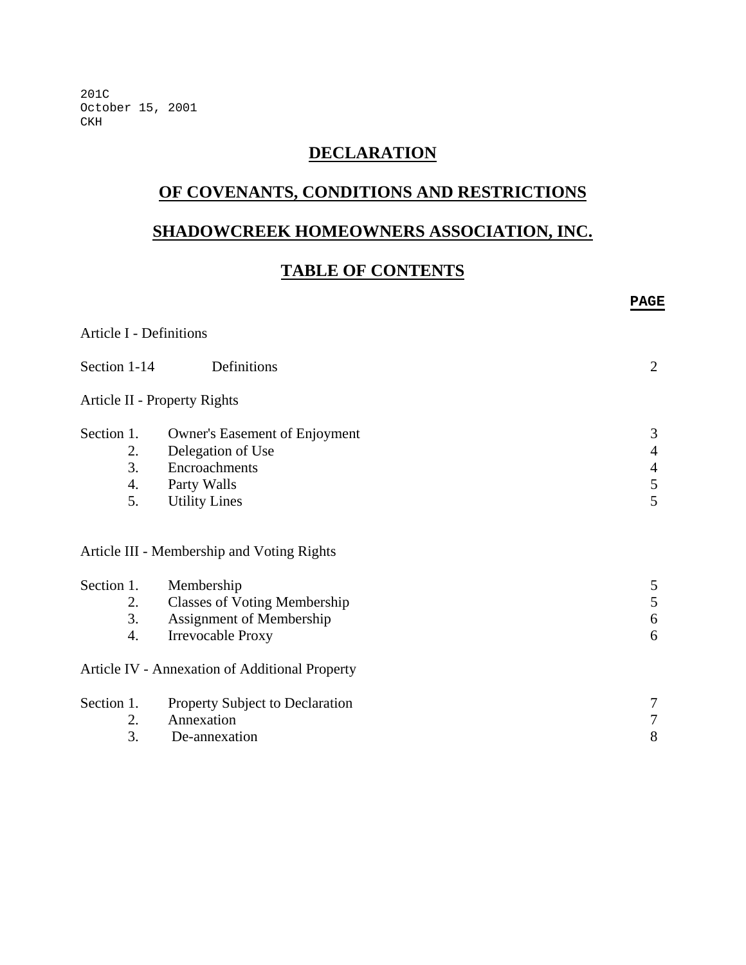201C October 15, 2001 CKH

# **DECLARATION**

# **OF COVENANTS, CONDITIONS AND RESTRICTIONS**

# **SHADOWCREEK HOMEOWNERS ASSOCIATION, INC.**

# **TABLE OF CONTENTS**

**PAGE** 

# Article I - Definitions Section 1-14 Definitions 2 Article II - Property Rights Section 1. Owner's Easement of Enjoyment 3<br>
2. Delegation of Use 4 2. Delegation of Use 3. Encroachments 4 4. Party Walls 5 5. Utility Lines 5 Article III - Membership and Voting Rights Section 1. Membership 5 2. Classes of Voting Membership 5 3. Assignment of Membership 6 4. Irrevocable Proxy 6 Article IV - Annexation of Additional Property Section 1. Property Subject to Declaration 7 2. Annexation 7 3. De-annexation 8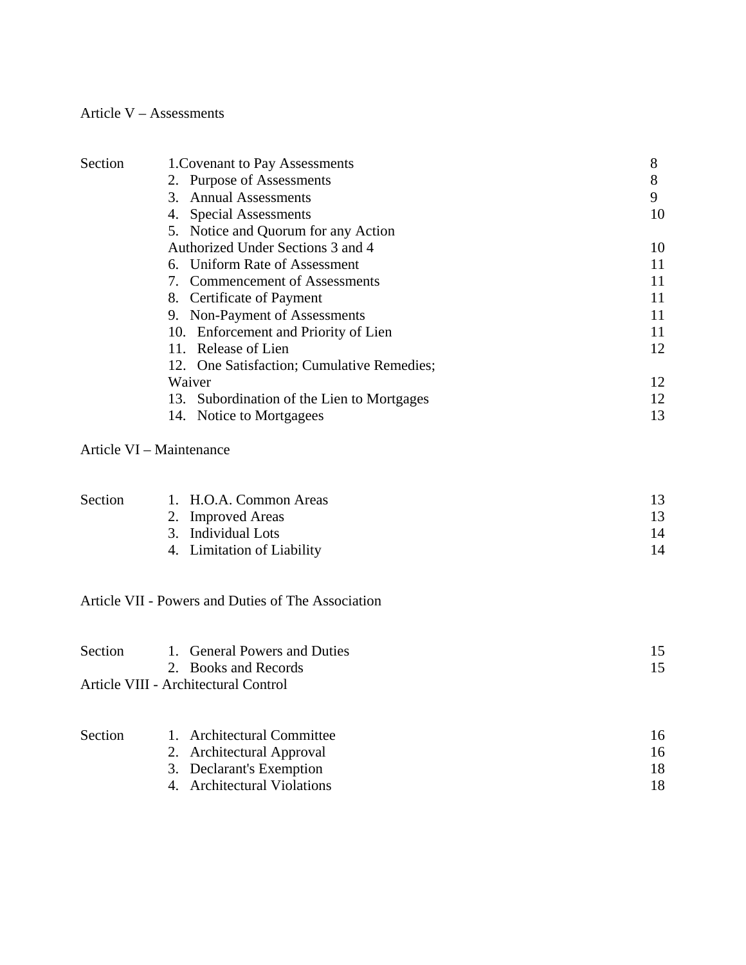# Article V – Assessments

| Section | 1. Covenant to Pay Assessments                | 8  |
|---------|-----------------------------------------------|----|
|         | 2. Purpose of Assessments                     | 8  |
|         | 3. Annual Assessments                         | 9  |
|         | 4. Special Assessments                        | 10 |
|         | 5. Notice and Quorum for any Action           |    |
|         | Authorized Under Sections 3 and 4             | 10 |
|         | 6. Uniform Rate of Assessment                 | 11 |
|         | 7. Commencement of Assessments                | 11 |
|         | 8. Certificate of Payment                     | 11 |
|         | 9. Non-Payment of Assessments                 | 11 |
|         | 10. Enforcement and Priority of Lien          | 11 |
|         | 11. Release of Lien                           | 12 |
|         | 12. One Satisfaction; Cumulative Remedies;    |    |
|         | Waiver                                        | 12 |
|         | Subordination of the Lien to Mortgages<br>13. | 12 |
|         | 14. Notice to Mortgagees                      | 13 |
|         | Article VI - Maintenance                      |    |

| <b>Section</b> | 1. H.O.A. Common Areas     |    |
|----------------|----------------------------|----|
|                | 2. Improved Areas          |    |
|                | 3. Individual Lots         | 14 |
|                | 4. Limitation of Liability | 14 |

# Article VII - Powers and Duties of The Association

| Section | 1. General Powers and Duties<br>2. Books and Records | 15 |
|---------|------------------------------------------------------|----|
|         | Article VIII - Architectural Control                 |    |
|         |                                                      |    |
| Section | 1. Architectural Committee                           | 16 |
|         | 2. Architectural Approval                            | 16 |
|         | 3. Declarant's Exemption                             |    |

3. Declarant's Exemption 18<br>
4. Architectural Violations 18 4. Architectural Violations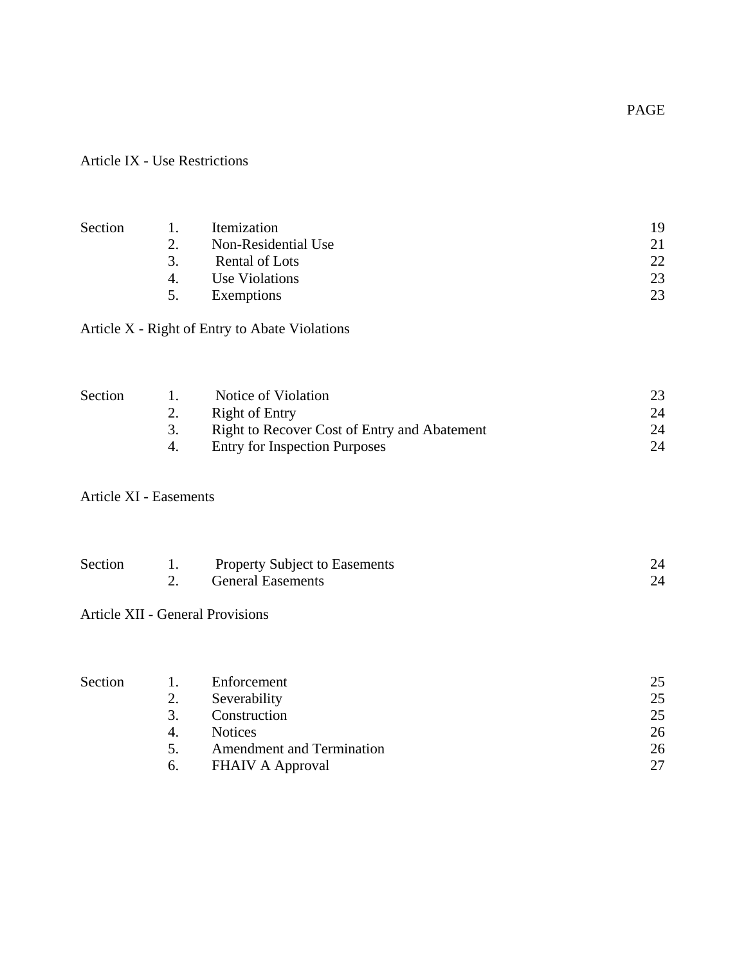Article IX - Use Restrictions

| Section                       | 1.               | Itemization                                    | 19 |
|-------------------------------|------------------|------------------------------------------------|----|
|                               | 2.               | Non-Residential Use                            | 21 |
|                               | 3.               | <b>Rental of Lots</b>                          | 22 |
|                               | $\overline{4}$ . | <b>Use Violations</b>                          | 23 |
|                               | 5.               | Exemptions                                     | 23 |
|                               |                  | Article X - Right of Entry to Abate Violations |    |
| Section                       | 1.               | Notice of Violation                            | 23 |
|                               | 2.               | <b>Right of Entry</b>                          | 24 |
|                               | 3.               | Right to Recover Cost of Entry and Abatement   | 24 |
|                               | $\overline{4}$ . | <b>Entry for Inspection Purposes</b>           | 24 |
| <b>Article XI - Easements</b> |                  |                                                |    |
| Section                       | 1.               | Property Subject to Easements                  | 24 |
|                               | 2.               | <b>General Easements</b>                       | 24 |
|                               |                  | <b>Article XII - General Provisions</b>        |    |
|                               |                  |                                                |    |
| Section                       | 1.               | Enforcement                                    | 25 |
|                               | 2.               | Severability                                   | 25 |
|                               | 3.               | Construction                                   | 25 |

| -- | -------------                    | -- |
|----|----------------------------------|----|
| 4. | <b>Notices</b>                   |    |
|    | <b>Amendment and Termination</b> |    |
|    |                                  |    |

| 6. | <b>FHAIV A Approval</b> |  |
|----|-------------------------|--|
|----|-------------------------|--|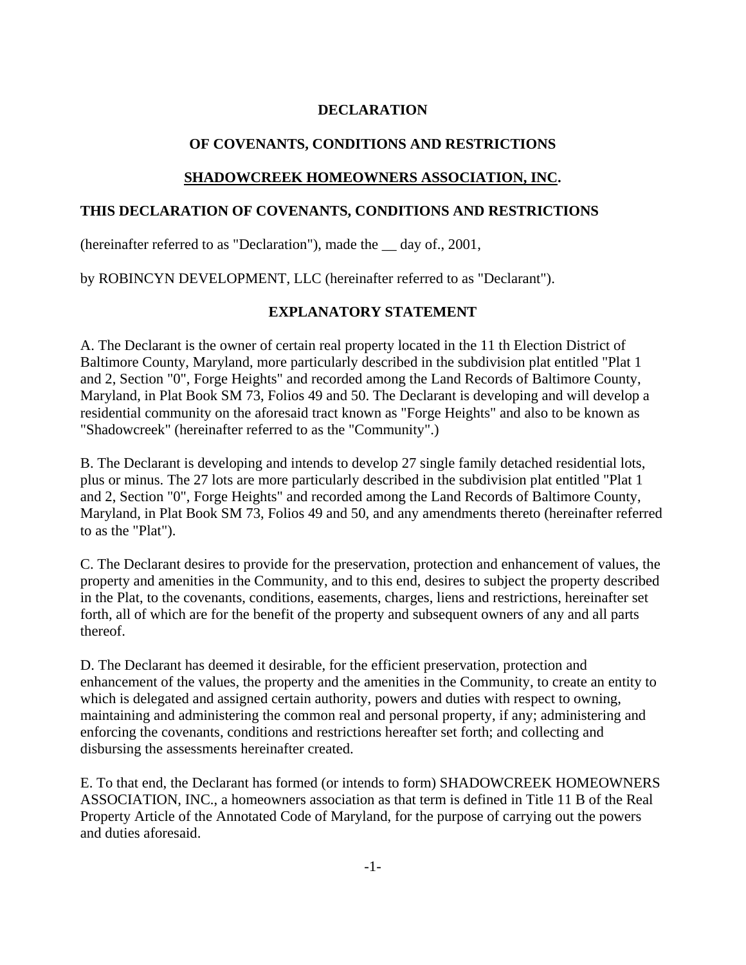### **DECLARATION**

### **OF COVENANTS, CONDITIONS AND RESTRICTIONS**

#### **SHADOWCREEK HOMEOWNERS ASSOCIATION, INC.**

#### **THIS DECLARATION OF COVENANTS, CONDITIONS AND RESTRICTIONS**

(hereinafter referred to as "Declaration"), made the \_\_ day of., 2001,

by ROBINCYN DEVELOPMENT, LLC (hereinafter referred to as "Declarant").

#### **EXPLANATORY STATEMENT**

A. The Declarant is the owner of certain real property located in the 11 th Election District of Baltimore County, Maryland, more particularly described in the subdivision plat entitled "Plat 1 and 2, Section "0", Forge Heights" and recorded among the Land Records of Baltimore County, Maryland, in Plat Book SM 73, Folios 49 and 50. The Declarant is developing and will develop a residential community on the aforesaid tract known as "Forge Heights" and also to be known as "Shadowcreek" (hereinafter referred to as the "Community".)

B. The Declarant is developing and intends to develop 27 single family detached residential lots, plus or minus. The 27 lots are more particularly described in the subdivision plat entitled "Plat 1 and 2, Section "0", Forge Heights" and recorded among the Land Records of Baltimore County, Maryland, in Plat Book SM 73, Folios 49 and 50, and any amendments thereto (hereinafter referred to as the "Plat").

C. The Declarant desires to provide for the preservation, protection and enhancement of values, the property and amenities in the Community, and to this end, desires to subject the property described in the Plat, to the covenants, conditions, easements, charges, liens and restrictions, hereinafter set forth, all of which are for the benefit of the property and subsequent owners of any and all parts thereof.

D. The Declarant has deemed it desirable, for the efficient preservation, protection and enhancement of the values, the property and the amenities in the Community, to create an entity to which is delegated and assigned certain authority, powers and duties with respect to owning, maintaining and administering the common real and personal property, if any; administering and enforcing the covenants, conditions and restrictions hereafter set forth; and collecting and disbursing the assessments hereinafter created.

E. To that end, the Declarant has formed (or intends to form) SHADOWCREEK HOMEOWNERS ASSOCIATION, INC., a homeowners association as that term is defined in Title 11 B of the Real Property Article of the Annotated Code of Maryland, for the purpose of carrying out the powers and duties aforesaid.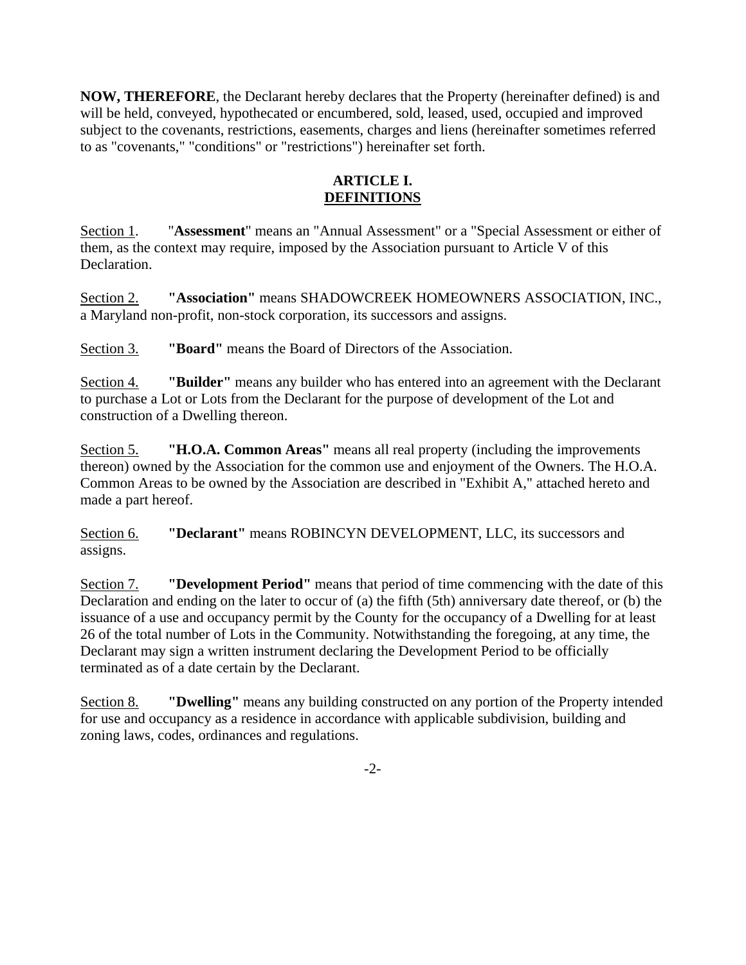**NOW, THEREFORE**, the Declarant hereby declares that the Property (hereinafter defined) is and will be held, conveyed, hypothecated or encumbered, sold, leased, used, occupied and improved subject to the covenants, restrictions, easements, charges and liens (hereinafter sometimes referred to as "covenants," "conditions" or "restrictions") hereinafter set forth.

# **ARTICLE I. DEFINITIONS**

Section 1. "**Assessment**" means an "Annual Assessment" or a "Special Assessment or either of them, as the context may require, imposed by the Association pursuant to Article V of this Declaration.

Section 2. **"Association"** means SHADOWCREEK HOMEOWNERS ASSOCIATION, INC., a Maryland non-profit, non-stock corporation, its successors and assigns.

Section 3. **"Board"** means the Board of Directors of the Association.

Section 4. **"Builder"** means any builder who has entered into an agreement with the Declarant to purchase a Lot or Lots from the Declarant for the purpose of development of the Lot and construction of a Dwelling thereon.

Section 5. **"H.O.A. Common Areas"** means all real property (including the improvements thereon) owned by the Association for the common use and enjoyment of the Owners. The H.O.A. Common Areas to be owned by the Association are described in "Exhibit A," attached hereto and made a part hereof.

Section 6. **"Declarant"** means ROBINCYN DEVELOPMENT, LLC, its successors and assigns.

Section 7. **"Development Period"** means that period of time commencing with the date of this Declaration and ending on the later to occur of (a) the fifth (5th) anniversary date thereof, or (b) the issuance of a use and occupancy permit by the County for the occupancy of a Dwelling for at least 26 of the total number of Lots in the Community. Notwithstanding the foregoing, at any time, the Declarant may sign a written instrument declaring the Development Period to be officially terminated as of a date certain by the Declarant.

Section 8. **"Dwelling"** means any building constructed on any portion of the Property intended for use and occupancy as a residence in accordance with applicable subdivision, building and zoning laws, codes, ordinances and regulations.

-2-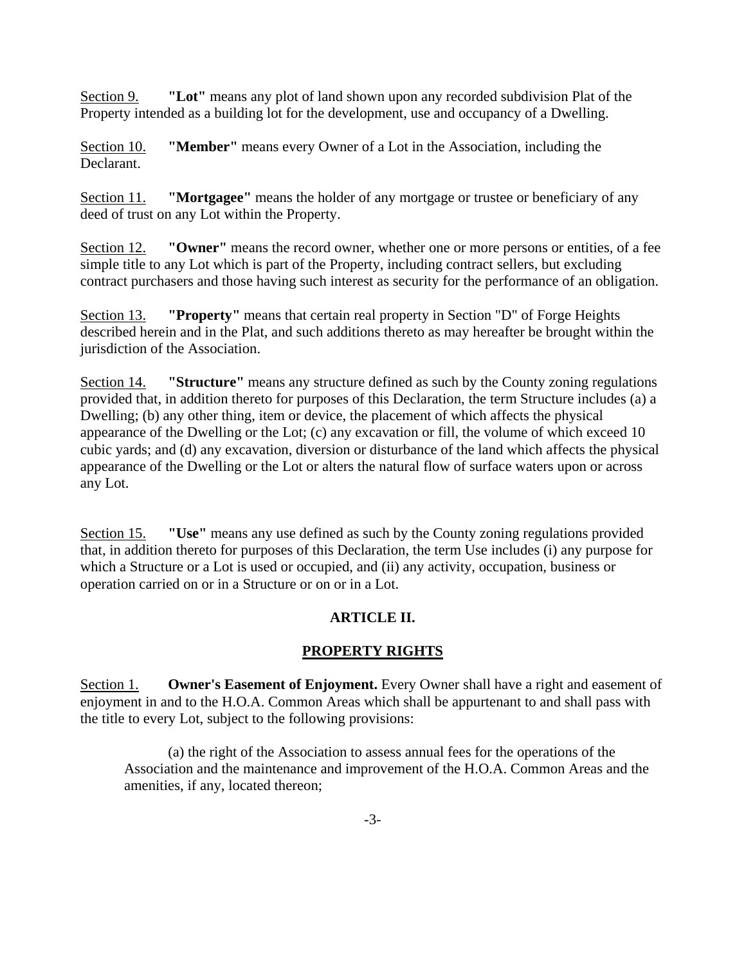Section 9. **"Lot"** means any plot of land shown upon any recorded subdivision Plat of the Property intended as a building lot for the development, use and occupancy of a Dwelling.

Section 10. **"Member"** means every Owner of a Lot in the Association, including the Declarant.

Section 11. **"Mortgagee"** means the holder of any mortgage or trustee or beneficiary of any deed of trust on any Lot within the Property.

Section 12. **"Owner"** means the record owner, whether one or more persons or entities, of a fee simple title to any Lot which is part of the Property, including contract sellers, but excluding contract purchasers and those having such interest as security for the performance of an obligation.

Section 13. **"Property"** means that certain real property in Section "D" of Forge Heights described herein and in the Plat, and such additions thereto as may hereafter be brought within the jurisdiction of the Association.

Section 14. **"Structure"** means any structure defined as such by the County zoning regulations provided that, in addition thereto for purposes of this Declaration, the term Structure includes (a) a Dwelling; (b) any other thing, item or device, the placement of which affects the physical appearance of the Dwelling or the Lot; (c) any excavation or fill, the volume of which exceed 10 cubic yards; and (d) any excavation, diversion or disturbance of the land which affects the physical appearance of the Dwelling or the Lot or alters the natural flow of surface waters upon or across any Lot.

Section 15. **"Use"** means any use defined as such by the County zoning regulations provided that, in addition thereto for purposes of this Declaration, the term Use includes (i) any purpose for which a Structure or a Lot is used or occupied, and (ii) any activity, occupation, business or operation carried on or in a Structure or on or in a Lot.

# **ARTICLE II.**

# **PROPERTY RIGHTS**

Section 1. **Owner's Easement of Enjoyment.** Every Owner shall have a right and easement of enjoyment in and to the H.O.A. Common Areas which shall be appurtenant to and shall pass with the title to every Lot, subject to the following provisions:

(a) the right of the Association to assess annual fees for the operations of the Association and the maintenance and improvement of the H.O.A. Common Areas and the amenities, if any, located thereon;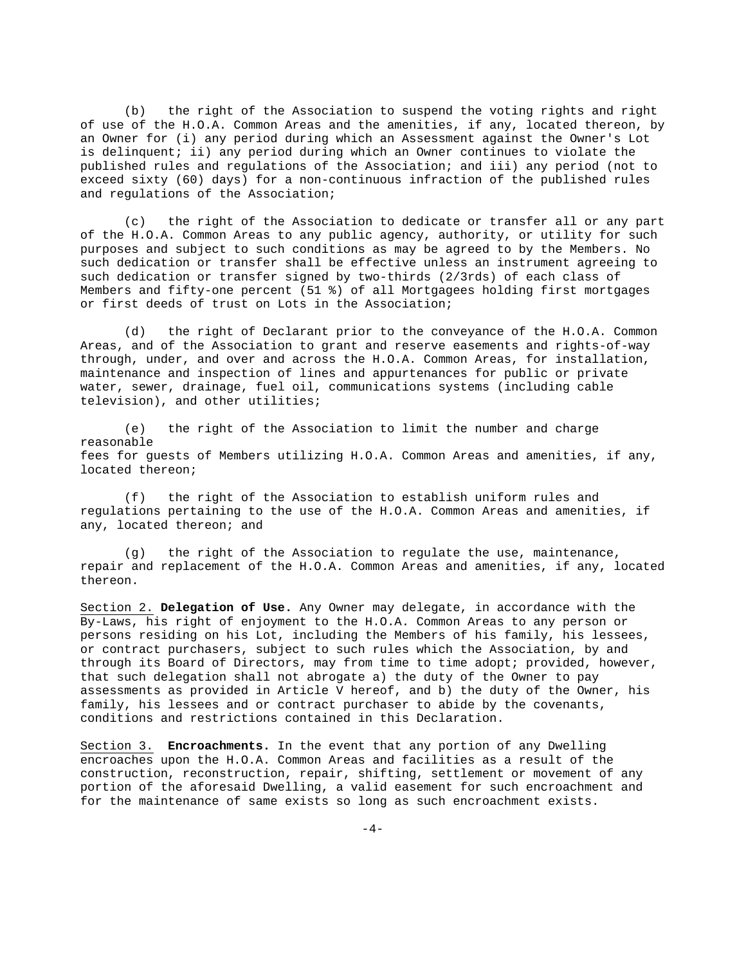(b) the right of the Association to suspend the voting rights and right of use of the H.O.A. Common Areas and the amenities, if any, located thereon, by an Owner for (i) any period during which an Assessment against the Owner's Lot is delinquent; ii) any period during which an Owner continues to violate the published rules and regulations of the Association; and iii) any period (not to exceed sixty (60) days) for a non-continuous infraction of the published rules and regulations of the Association;

(c) the right of the Association to dedicate or transfer all or any part of the H.O.A. Common Areas to any public agency, authority, or utility for such purposes and subject to such conditions as may be agreed to by the Members. No such dedication or transfer shall be effective unless an instrument agreeing to such dedication or transfer signed by two-thirds (2/3rds) of each class of Members and fifty-one percent (51 %) of all Mortgagees holding first mortgages or first deeds of trust on Lots in the Association;

(d) the right of Declarant prior to the conveyance of the H.O.A. Common Areas, and of the Association to grant and reserve easements and rights-of-way through, under, and over and across the H.O.A. Common Areas, for installation, maintenance and inspection of lines and appurtenances for public or private water, sewer, drainage, fuel oil, communications systems (including cable television), and other utilities;

(e) the right of the Association to limit the number and charge reasonable fees for guests of Members utilizing H.O.A. Common Areas and amenities, if any, located thereon;

(f) the right of the Association to establish uniform rules and regulations pertaining to the use of the H.O.A. Common Areas and amenities, if any, located thereon; and

(g) the right of the Association to regulate the use, maintenance, repair and replacement of the H.O.A. Common Areas and amenities, if any, located thereon.

Section 2. **Delegation of Use.** Any Owner may delegate, in accordance with the By-Laws, his right of enjoyment to the H.O.A. Common Areas to any person or persons residing on his Lot, including the Members of his family, his lessees, or contract purchasers, subject to such rules which the Association, by and through its Board of Directors, may from time to time adopt; provided, however, that such delegation shall not abrogate a) the duty of the Owner to pay assessments as provided in Article V hereof, and b) the duty of the Owner, his family, his lessees and or contract purchaser to abide by the covenants, conditions and restrictions contained in this Declaration.

Section 3. **Encroachments.** In the event that any portion of any Dwelling encroaches upon the H.O.A. Common Areas and facilities as a result of the construction, reconstruction, repair, shifting, settlement or movement of any portion of the aforesaid Dwelling, a valid easement for such encroachment and for the maintenance of same exists so long as such encroachment exists.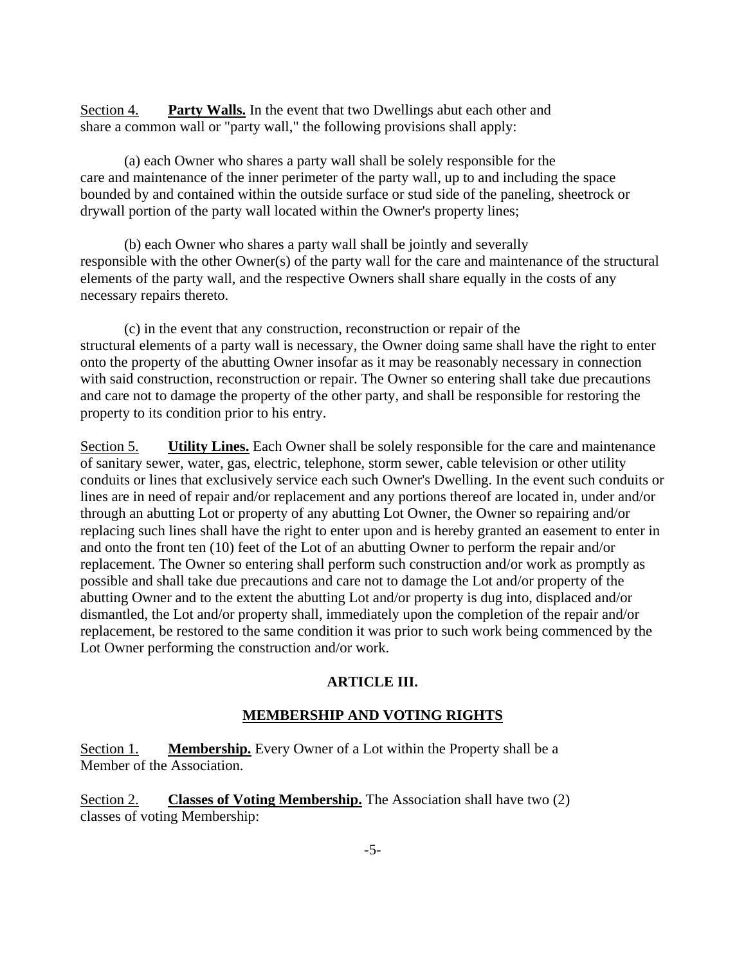Section 4. **Party Walls.** In the event that two Dwellings abut each other and share a common wall or "party wall," the following provisions shall apply:

(a) each Owner who shares a party wall shall be solely responsible for the care and maintenance of the inner perimeter of the party wall, up to and including the space bounded by and contained within the outside surface or stud side of the paneling, sheetrock or drywall portion of the party wall located within the Owner's property lines;

(b) each Owner who shares a party wall shall be jointly and severally responsible with the other Owner(s) of the party wall for the care and maintenance of the structural elements of the party wall, and the respective Owners shall share equally in the costs of any necessary repairs thereto.

(c) in the event that any construction, reconstruction or repair of the structural elements of a party wall is necessary, the Owner doing same shall have the right to enter onto the property of the abutting Owner insofar as it may be reasonably necessary in connection with said construction, reconstruction or repair. The Owner so entering shall take due precautions and care not to damage the property of the other party, and shall be responsible for restoring the property to its condition prior to his entry.

Section 5. **Utility Lines.** Each Owner shall be solely responsible for the care and maintenance of sanitary sewer, water, gas, electric, telephone, storm sewer, cable television or other utility conduits or lines that exclusively service each such Owner's Dwelling. In the event such conduits or lines are in need of repair and/or replacement and any portions thereof are located in, under and/or through an abutting Lot or property of any abutting Lot Owner, the Owner so repairing and/or replacing such lines shall have the right to enter upon and is hereby granted an easement to enter in and onto the front ten (10) feet of the Lot of an abutting Owner to perform the repair and/or replacement. The Owner so entering shall perform such construction and/or work as promptly as possible and shall take due precautions and care not to damage the Lot and/or property of the abutting Owner and to the extent the abutting Lot and/or property is dug into, displaced and/or dismantled, the Lot and/or property shall, immediately upon the completion of the repair and/or replacement, be restored to the same condition it was prior to such work being commenced by the Lot Owner performing the construction and/or work.

#### **ARTICLE III.**

# **MEMBERSHIP AND VOTING RIGHTS**

Section 1. **Membership.** Every Owner of a Lot within the Property shall be a Member of the Association.

Section 2. **Classes of Voting Membership.** The Association shall have two (2) classes of voting Membership: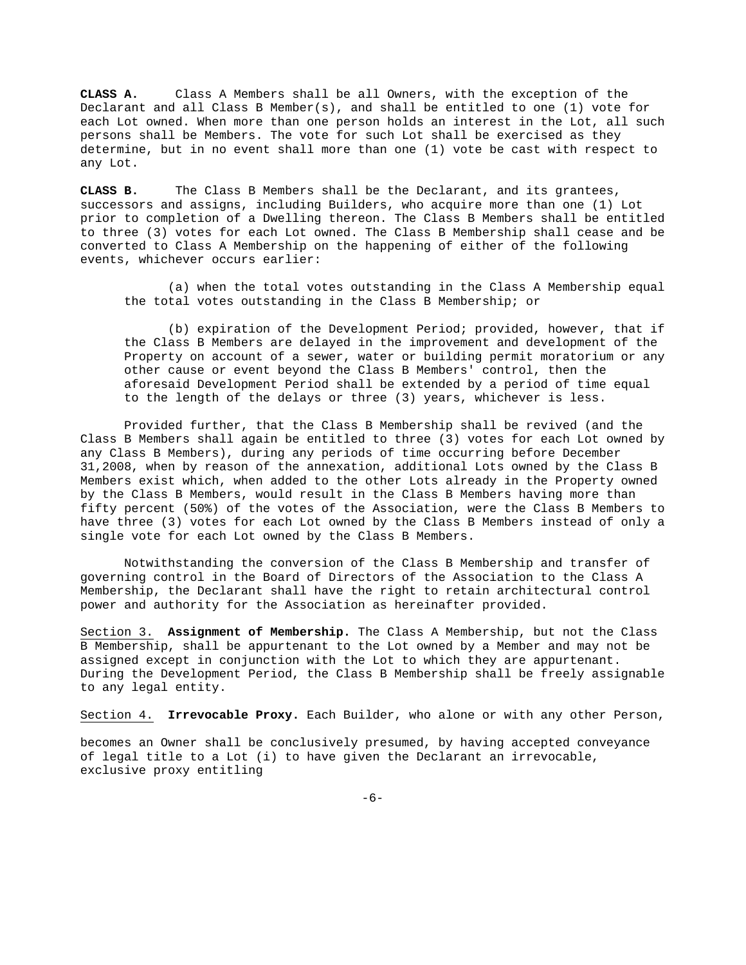**CLASS A.** Class A Members shall be all Owners, with the exception of the Declarant and all Class B Member(s), and shall be entitled to one (1) vote for each Lot owned. When more than one person holds an interest in the Lot, all such persons shall be Members. The vote for such Lot shall be exercised as they determine, but in no event shall more than one (1) vote be cast with respect to any Lot.

**CLASS B.** The Class B Members shall be the Declarant, and its grantees, successors and assigns, including Builders, who acquire more than one (1) Lot prior to completion of a Dwelling thereon. The Class B Members shall be entitled to three (3) votes for each Lot owned. The Class B Membership shall cease and be converted to Class A Membership on the happening of either of the following events, whichever occurs earlier:

(a) when the total votes outstanding in the Class A Membership equal the total votes outstanding in the Class B Membership; or

(b) expiration of the Development Period; provided, however, that if the Class B Members are delayed in the improvement and development of the Property on account of a sewer, water or building permit moratorium or any other cause or event beyond the Class B Members' control, then the aforesaid Development Period shall be extended by a period of time equal to the length of the delays or three (3) years, whichever is less.

Provided further, that the Class B Membership shall be revived (and the Class B Members shall again be entitled to three (3) votes for each Lot owned by any Class B Members), during any periods of time occurring before December 31,2008, when by reason of the annexation, additional Lots owned by the Class B Members exist which, when added to the other Lots already in the Property owned by the Class B Members, would result in the Class B Members having more than fifty percent (50%) of the votes of the Association, were the Class B Members to have three (3) votes for each Lot owned by the Class B Members instead of only a single vote for each Lot owned by the Class B Members.

Notwithstanding the conversion of the Class B Membership and transfer of governing control in the Board of Directors of the Association to the Class A Membership, the Declarant shall have the right to retain architectural control power and authority for the Association as hereinafter provided.

Section 3. **Assignment of Membership.** The Class A Membership, but not the Class B Membership, shall be appurtenant to the Lot owned by a Member and may not be assigned except in conjunction with the Lot to which they are appurtenant. During the Development Period, the Class B Membership shall be freely assignable to any legal entity.

Section 4. **Irrevocable Proxy.** Each Builder, who alone or with any other Person,

becomes an Owner shall be conclusively presumed, by having accepted conveyance of legal title to a Lot (i) to have given the Declarant an irrevocable, exclusive proxy entitling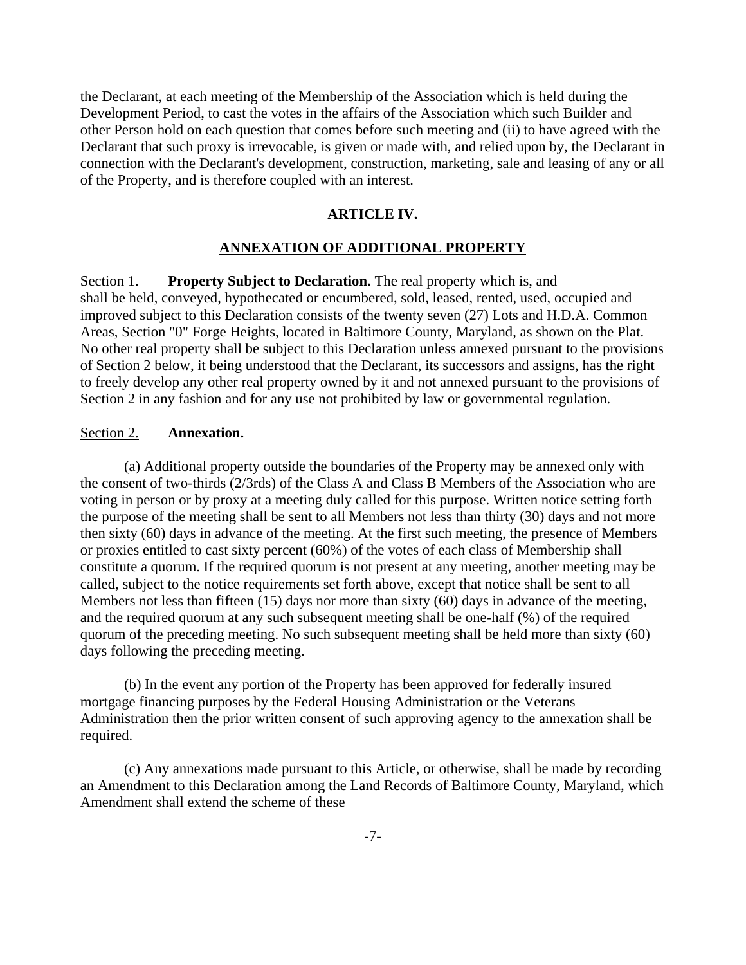the Declarant, at each meeting of the Membership of the Association which is held during the Development Period, to cast the votes in the affairs of the Association which such Builder and other Person hold on each question that comes before such meeting and (ii) to have agreed with the Declarant that such proxy is irrevocable, is given or made with, and relied upon by, the Declarant in connection with the Declarant's development, construction, marketing, sale and leasing of any or all of the Property, and is therefore coupled with an interest.

#### **ARTICLE IV.**

#### **ANNEXATION OF ADDITIONAL PROPERTY**

Section 1. **Property Subject to Declaration.** The real property which is, and shall be held, conveyed, hypothecated or encumbered, sold, leased, rented, used, occupied and improved subject to this Declaration consists of the twenty seven (27) Lots and H.D.A. Common Areas, Section "0" Forge Heights, located in Baltimore County, Maryland, as shown on the Plat. No other real property shall be subject to this Declaration unless annexed pursuant to the provisions of Section 2 below, it being understood that the Declarant, its successors and assigns, has the right to freely develop any other real property owned by it and not annexed pursuant to the provisions of Section 2 in any fashion and for any use not prohibited by law or governmental regulation.

#### Section 2. **Annexation.**

(a) Additional property outside the boundaries of the Property may be annexed only with the consent of two-thirds (2/3rds) of the Class A and Class B Members of the Association who are voting in person or by proxy at a meeting duly called for this purpose. Written notice setting forth the purpose of the meeting shall be sent to all Members not less than thirty (30) days and not more then sixty (60) days in advance of the meeting. At the first such meeting, the presence of Members or proxies entitled to cast sixty percent (60%) of the votes of each class of Membership shall constitute a quorum. If the required quorum is not present at any meeting, another meeting may be called, subject to the notice requirements set forth above, except that notice shall be sent to all Members not less than fifteen (15) days nor more than sixty (60) days in advance of the meeting, and the required quorum at any such subsequent meeting shall be one-half (%) of the required quorum of the preceding meeting. No such subsequent meeting shall be held more than sixty (60) days following the preceding meeting.

(b) In the event any portion of the Property has been approved for federally insured mortgage financing purposes by the Federal Housing Administration or the Veterans Administration then the prior written consent of such approving agency to the annexation shall be required.

(c) Any annexations made pursuant to this Article, or otherwise, shall be made by recording an Amendment to this Declaration among the Land Records of Baltimore County, Maryland, which Amendment shall extend the scheme of these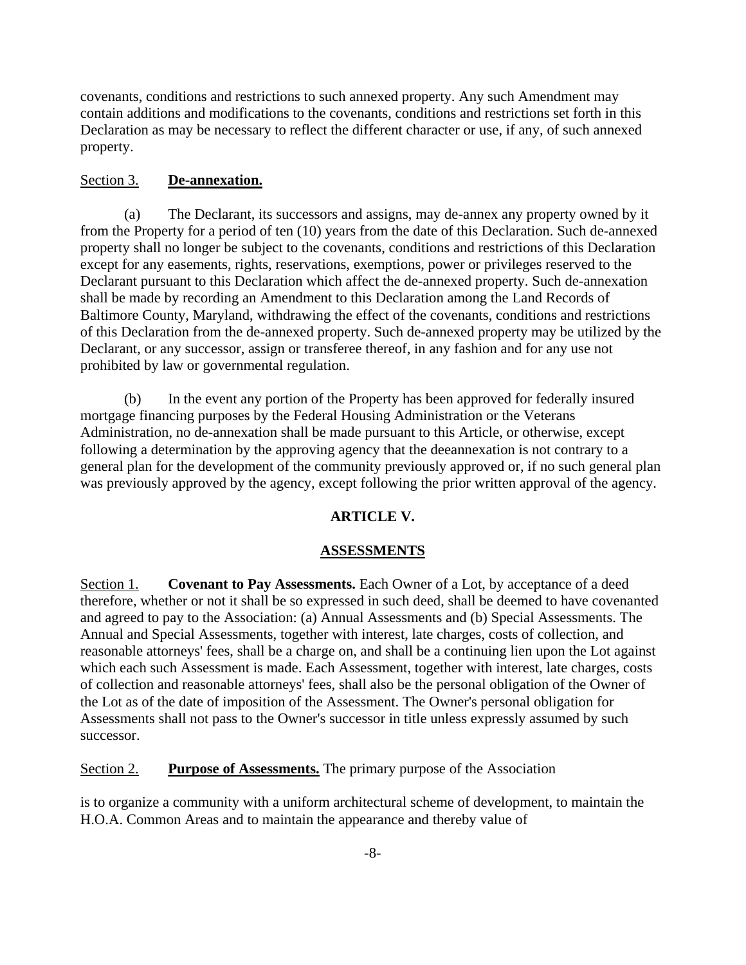covenants, conditions and restrictions to such annexed property. Any such Amendment may contain additions and modifications to the covenants, conditions and restrictions set forth in this Declaration as may be necessary to reflect the different character or use, if any, of such annexed property.

#### Section 3. **De-annexation.**

(a) The Declarant, its successors and assigns, may de-annex any property owned by it from the Property for a period of ten (10) years from the date of this Declaration. Such de-annexed property shall no longer be subject to the covenants, conditions and restrictions of this Declaration except for any easements, rights, reservations, exemptions, power or privileges reserved to the Declarant pursuant to this Declaration which affect the de-annexed property. Such de-annexation shall be made by recording an Amendment to this Declaration among the Land Records of Baltimore County, Maryland, withdrawing the effect of the covenants, conditions and restrictions of this Declaration from the de-annexed property. Such de-annexed property may be utilized by the Declarant, or any successor, assign or transferee thereof, in any fashion and for any use not prohibited by law or governmental regulation.

(b) In the event any portion of the Property has been approved for federally insured mortgage financing purposes by the Federal Housing Administration or the Veterans Administration, no de-annexation shall be made pursuant to this Article, or otherwise, except following a determination by the approving agency that the deeannexation is not contrary to a general plan for the development of the community previously approved or, if no such general plan was previously approved by the agency, except following the prior written approval of the agency.

#### **ARTICLE V.**

#### **ASSESSMENTS**

Section 1. **Covenant to Pay Assessments.** Each Owner of a Lot, by acceptance of a deed therefore, whether or not it shall be so expressed in such deed, shall be deemed to have covenanted and agreed to pay to the Association: (a) Annual Assessments and (b) Special Assessments. The Annual and Special Assessments, together with interest, late charges, costs of collection, and reasonable attorneys' fees, shall be a charge on, and shall be a continuing lien upon the Lot against which each such Assessment is made. Each Assessment, together with interest, late charges, costs of collection and reasonable attorneys' fees, shall also be the personal obligation of the Owner of the Lot as of the date of imposition of the Assessment. The Owner's personal obligation for Assessments shall not pass to the Owner's successor in title unless expressly assumed by such successor.

Section 2. **Purpose of Assessments.** The primary purpose of the Association

is to organize a community with a uniform architectural scheme of development, to maintain the H.O.A. Common Areas and to maintain the appearance and thereby value of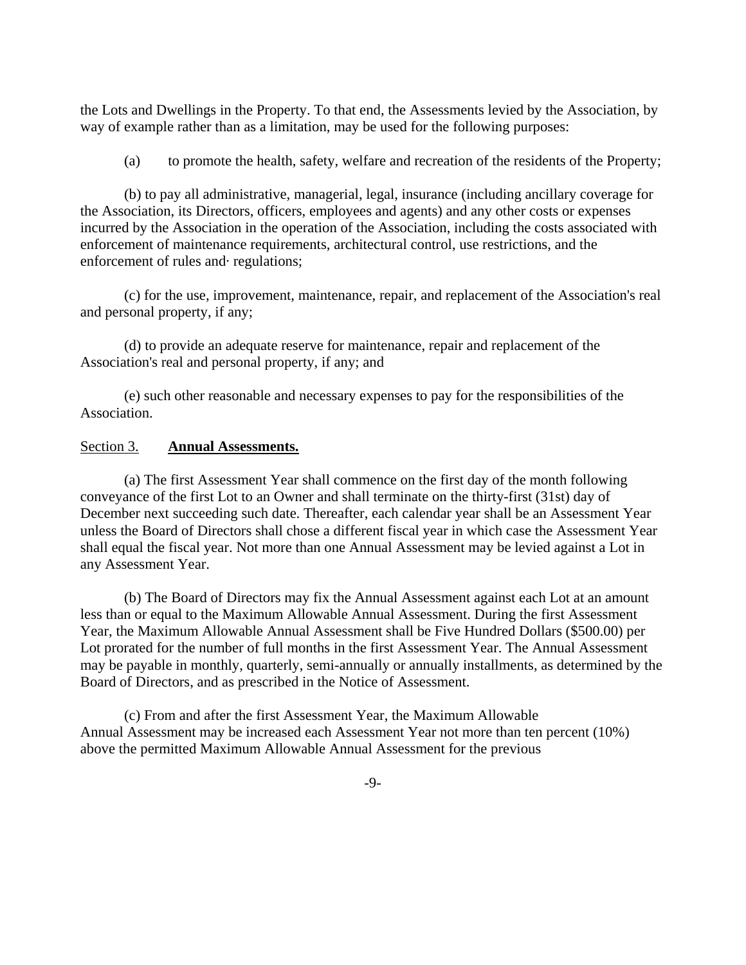the Lots and Dwellings in the Property. To that end, the Assessments levied by the Association, by way of example rather than as a limitation, may be used for the following purposes:

(a) to promote the health, safety, welfare and recreation of the residents of the Property;

(b) to pay all administrative, managerial, legal, insurance (including ancillary coverage for the Association, its Directors, officers, employees and agents) and any other costs or expenses incurred by the Association in the operation of the Association, including the costs associated with enforcement of maintenance requirements, architectural control, use restrictions, and the enforcement of rules and· regulations;

(c) for the use, improvement, maintenance, repair, and replacement of the Association's real and personal property, if any;

(d) to provide an adequate reserve for maintenance, repair and replacement of the Association's real and personal property, if any; and

(e) such other reasonable and necessary expenses to pay for the responsibilities of the Association.

#### Section 3. **Annual Assessments.**

(a) The first Assessment Year shall commence on the first day of the month following conveyance of the first Lot to an Owner and shall terminate on the thirty-first (31st) day of December next succeeding such date. Thereafter, each calendar year shall be an Assessment Year unless the Board of Directors shall chose a different fiscal year in which case the Assessment Year shall equal the fiscal year. Not more than one Annual Assessment may be levied against a Lot in any Assessment Year.

(b) The Board of Directors may fix the Annual Assessment against each Lot at an amount less than or equal to the Maximum Allowable Annual Assessment. During the first Assessment Year, the Maximum Allowable Annual Assessment shall be Five Hundred Dollars (\$500.00) per Lot prorated for the number of full months in the first Assessment Year. The Annual Assessment may be payable in monthly, quarterly, semi-annually or annually installments, as determined by the Board of Directors, and as prescribed in the Notice of Assessment.

(c) From and after the first Assessment Year, the Maximum Allowable Annual Assessment may be increased each Assessment Year not more than ten percent (10%) above the permitted Maximum Allowable Annual Assessment for the previous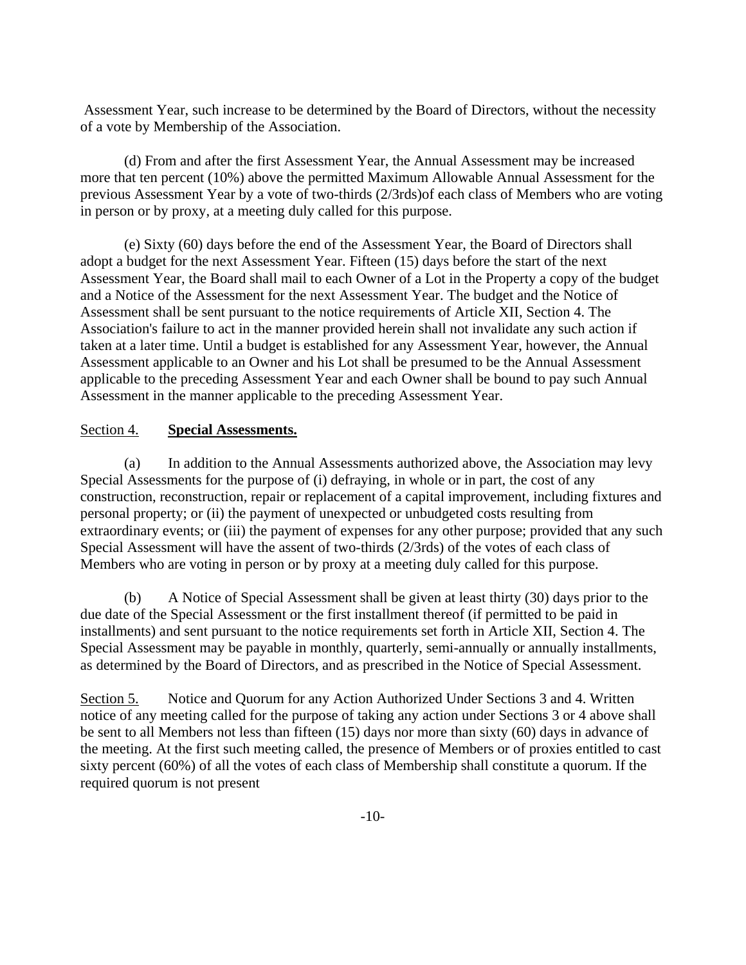Assessment Year, such increase to be determined by the Board of Directors, without the necessity of a vote by Membership of the Association.

(d) From and after the first Assessment Year, the Annual Assessment may be increased more that ten percent (10%) above the permitted Maximum Allowable Annual Assessment for the previous Assessment Year by a vote of two-thirds (2/3rds)of each class of Members who are voting in person or by proxy, at a meeting duly called for this purpose.

(e) Sixty (60) days before the end of the Assessment Year, the Board of Directors shall adopt a budget for the next Assessment Year. Fifteen (15) days before the start of the next Assessment Year, the Board shall mail to each Owner of a Lot in the Property a copy of the budget and a Notice of the Assessment for the next Assessment Year. The budget and the Notice of Assessment shall be sent pursuant to the notice requirements of Article XII, Section 4. The Association's failure to act in the manner provided herein shall not invalidate any such action if taken at a later time. Until a budget is established for any Assessment Year, however, the Annual Assessment applicable to an Owner and his Lot shall be presumed to be the Annual Assessment applicable to the preceding Assessment Year and each Owner shall be bound to pay such Annual Assessment in the manner applicable to the preceding Assessment Year.

#### Section 4. **Special Assessments.**

(a) In addition to the Annual Assessments authorized above, the Association may levy Special Assessments for the purpose of (i) defraying, in whole or in part, the cost of any construction, reconstruction, repair or replacement of a capital improvement, including fixtures and personal property; or (ii) the payment of unexpected or unbudgeted costs resulting from extraordinary events; or (iii) the payment of expenses for any other purpose; provided that any such Special Assessment will have the assent of two-thirds (2/3rds) of the votes of each class of Members who are voting in person or by proxy at a meeting duly called for this purpose.

(b) A Notice of Special Assessment shall be given at least thirty (30) days prior to the due date of the Special Assessment or the first installment thereof (if permitted to be paid in installments) and sent pursuant to the notice requirements set forth in Article XII, Section 4. The Special Assessment may be payable in monthly, quarterly, semi-annually or annually installments, as determined by the Board of Directors, and as prescribed in the Notice of Special Assessment.

Section 5. Notice and Quorum for any Action Authorized Under Sections 3 and 4. Written notice of any meeting called for the purpose of taking any action under Sections 3 or 4 above shall be sent to all Members not less than fifteen (15) days nor more than sixty (60) days in advance of the meeting. At the first such meeting called, the presence of Members or of proxies entitled to cast sixty percent (60%) of all the votes of each class of Membership shall constitute a quorum. If the required quorum is not present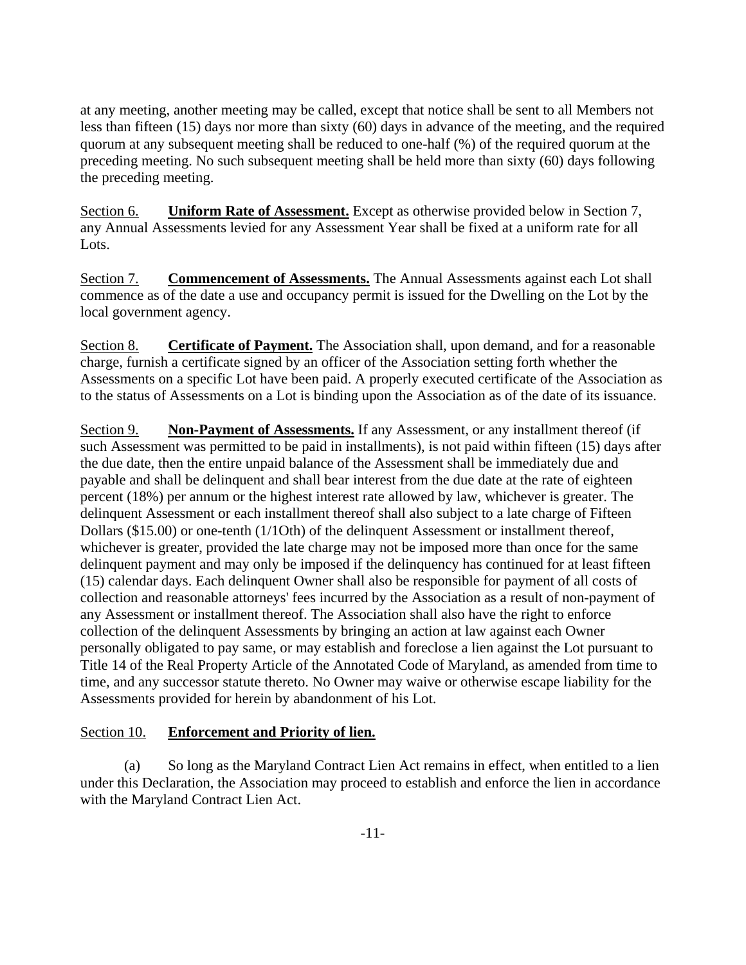at any meeting, another meeting may be called, except that notice shall be sent to all Members not less than fifteen (15) days nor more than sixty (60) days in advance of the meeting, and the required quorum at any subsequent meeting shall be reduced to one-half (%) of the required quorum at the preceding meeting. No such subsequent meeting shall be held more than sixty (60) days following the preceding meeting.

Section 6. **Uniform Rate of Assessment.** Except as otherwise provided below in Section 7, any Annual Assessments levied for any Assessment Year shall be fixed at a uniform rate for all Lots.

Section 7. **Commencement of Assessments.** The Annual Assessments against each Lot shall commence as of the date a use and occupancy permit is issued for the Dwelling on the Lot by the local government agency.

Section 8. **Certificate of Payment.** The Association shall, upon demand, and for a reasonable charge, furnish a certificate signed by an officer of the Association setting forth whether the Assessments on a specific Lot have been paid. A properly executed certificate of the Association as to the status of Assessments on a Lot is binding upon the Association as of the date of its issuance.

Section 9. **Non-Payment of Assessments.** If any Assessment, or any installment thereof (if such Assessment was permitted to be paid in installments), is not paid within fifteen (15) days after the due date, then the entire unpaid balance of the Assessment shall be immediately due and payable and shall be delinquent and shall bear interest from the due date at the rate of eighteen percent (18%) per annum or the highest interest rate allowed by law, whichever is greater. The delinquent Assessment or each installment thereof shall also subject to a late charge of Fifteen Dollars (\$15.00) or one-tenth (1/1Oth) of the delinquent Assessment or installment thereof, whichever is greater, provided the late charge may not be imposed more than once for the same delinquent payment and may only be imposed if the delinquency has continued for at least fifteen (15) calendar days. Each delinquent Owner shall also be responsible for payment of all costs of collection and reasonable attorneys' fees incurred by the Association as a result of non-payment of any Assessment or installment thereof. The Association shall also have the right to enforce collection of the delinquent Assessments by bringing an action at law against each Owner personally obligated to pay same, or may establish and foreclose a lien against the Lot pursuant to Title 14 of the Real Property Article of the Annotated Code of Maryland, as amended from time to time, and any successor statute thereto. No Owner may waive or otherwise escape liability for the Assessments provided for herein by abandonment of his Lot.

# Section 10. **Enforcement and Priority of lien.**

(a) So long as the Maryland Contract Lien Act remains in effect, when entitled to a lien under this Declaration, the Association may proceed to establish and enforce the lien in accordance with the Maryland Contract Lien Act.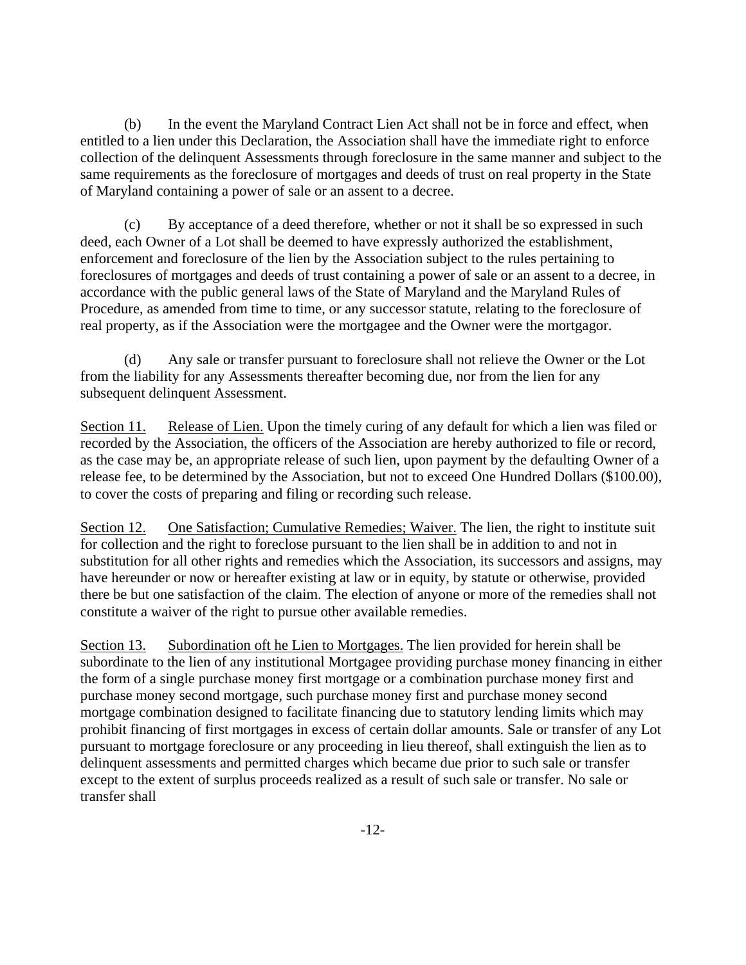(b) In the event the Maryland Contract Lien Act shall not be in force and effect, when entitled to a lien under this Declaration, the Association shall have the immediate right to enforce collection of the delinquent Assessments through foreclosure in the same manner and subject to the same requirements as the foreclosure of mortgages and deeds of trust on real property in the State of Maryland containing a power of sale or an assent to a decree.

(c) By acceptance of a deed therefore, whether or not it shall be so expressed in such deed, each Owner of a Lot shall be deemed to have expressly authorized the establishment, enforcement and foreclosure of the lien by the Association subject to the rules pertaining to foreclosures of mortgages and deeds of trust containing a power of sale or an assent to a decree, in accordance with the public general laws of the State of Maryland and the Maryland Rules of Procedure, as amended from time to time, or any successor statute, relating to the foreclosure of real property, as if the Association were the mortgagee and the Owner were the mortgagor.

(d) Any sale or transfer pursuant to foreclosure shall not relieve the Owner or the Lot from the liability for any Assessments thereafter becoming due, nor from the lien for any subsequent delinquent Assessment.

Section 11. Release of Lien. Upon the timely curing of any default for which a lien was filed or recorded by the Association, the officers of the Association are hereby authorized to file or record, as the case may be, an appropriate release of such lien, upon payment by the defaulting Owner of a release fee, to be determined by the Association, but not to exceed One Hundred Dollars (\$100.00), to cover the costs of preparing and filing or recording such release.

Section 12. One Satisfaction; Cumulative Remedies; Waiver. The lien, the right to institute suit for collection and the right to foreclose pursuant to the lien shall be in addition to and not in substitution for all other rights and remedies which the Association, its successors and assigns, may have hereunder or now or hereafter existing at law or in equity, by statute or otherwise, provided there be but one satisfaction of the claim. The election of anyone or more of the remedies shall not constitute a waiver of the right to pursue other available remedies.

Section 13. Subordination oft he Lien to Mortgages. The lien provided for herein shall be subordinate to the lien of any institutional Mortgagee providing purchase money financing in either the form of a single purchase money first mortgage or a combination purchase money first and purchase money second mortgage, such purchase money first and purchase money second mortgage combination designed to facilitate financing due to statutory lending limits which may prohibit financing of first mortgages in excess of certain dollar amounts. Sale or transfer of any Lot pursuant to mortgage foreclosure or any proceeding in lieu thereof, shall extinguish the lien as to delinquent assessments and permitted charges which became due prior to such sale or transfer except to the extent of surplus proceeds realized as a result of such sale or transfer. No sale or transfer shall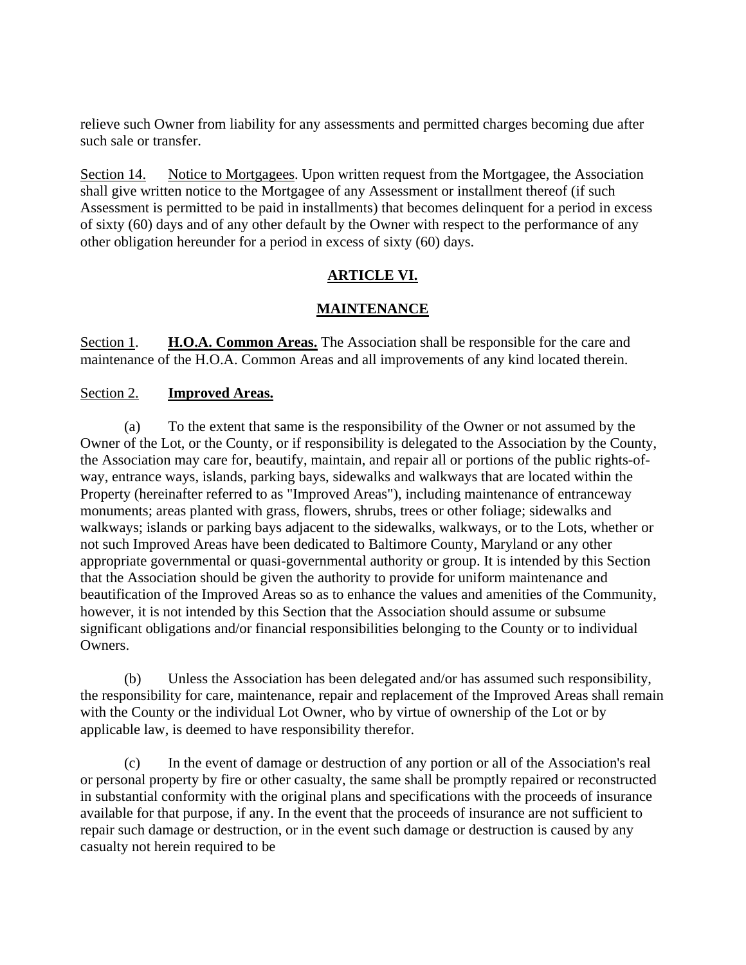relieve such Owner from liability for any assessments and permitted charges becoming due after such sale or transfer.

Section 14. Notice to Mortgagees. Upon written request from the Mortgagee, the Association shall give written notice to the Mortgagee of any Assessment or installment thereof (if such Assessment is permitted to be paid in installments) that becomes delinquent for a period in excess of sixty (60) days and of any other default by the Owner with respect to the performance of any other obligation hereunder for a period in excess of sixty (60) days.

# **ARTICLE VI.**

# **MAINTENANCE**

Section 1. **H.O.A. Common Areas.** The Association shall be responsible for the care and maintenance of the H.O.A. Common Areas and all improvements of any kind located therein.

#### Section 2. **Improved Areas.**

(a) To the extent that same is the responsibility of the Owner or not assumed by the Owner of the Lot, or the County, or if responsibility is delegated to the Association by the County, the Association may care for, beautify, maintain, and repair all or portions of the public rights-ofway, entrance ways, islands, parking bays, sidewalks and walkways that are located within the Property (hereinafter referred to as "Improved Areas"), including maintenance of entranceway monuments; areas planted with grass, flowers, shrubs, trees or other foliage; sidewalks and walkways; islands or parking bays adjacent to the sidewalks, walkways, or to the Lots, whether or not such Improved Areas have been dedicated to Baltimore County, Maryland or any other appropriate governmental or quasi-governmental authority or group. It is intended by this Section that the Association should be given the authority to provide for uniform maintenance and beautification of the Improved Areas so as to enhance the values and amenities of the Community, however, it is not intended by this Section that the Association should assume or subsume significant obligations and/or financial responsibilities belonging to the County or to individual Owners.

(b) Unless the Association has been delegated and/or has assumed such responsibility, the responsibility for care, maintenance, repair and replacement of the Improved Areas shall remain with the County or the individual Lot Owner, who by virtue of ownership of the Lot or by applicable law, is deemed to have responsibility therefor.

(c) In the event of damage or destruction of any portion or all of the Association's real or personal property by fire or other casualty, the same shall be promptly repaired or reconstructed in substantial conformity with the original plans and specifications with the proceeds of insurance available for that purpose, if any. In the event that the proceeds of insurance are not sufficient to repair such damage or destruction, or in the event such damage or destruction is caused by any casualty not herein required to be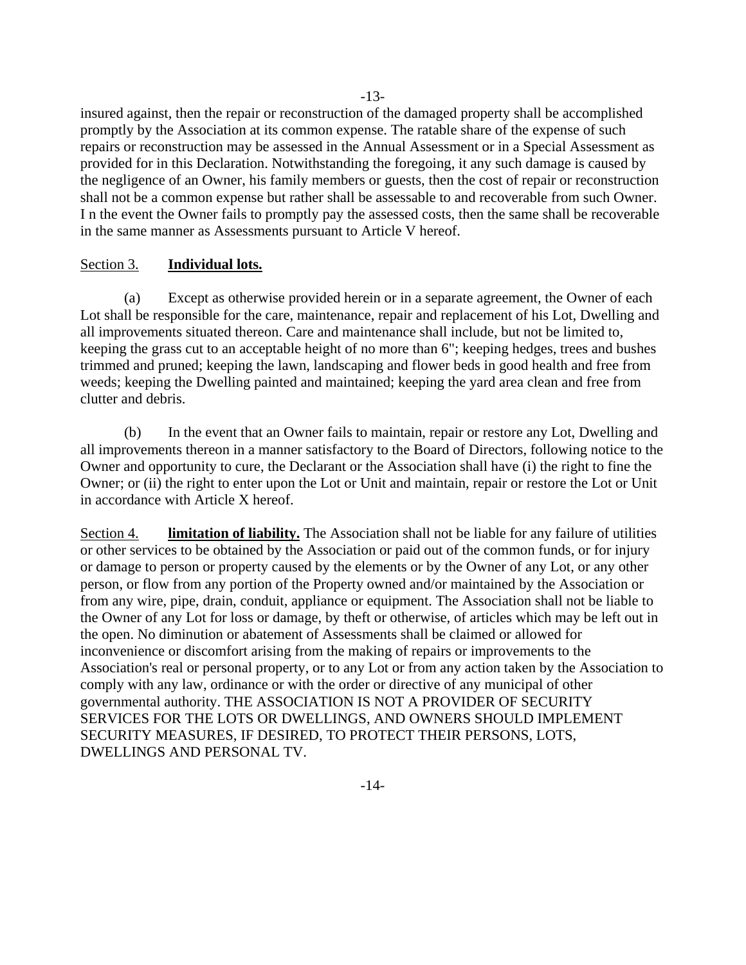insured against, then the repair or reconstruction of the damaged property shall be accomplished promptly by the Association at its common expense. The ratable share of the expense of such repairs or reconstruction may be assessed in the Annual Assessment or in a Special Assessment as provided for in this Declaration. Notwithstanding the foregoing, it any such damage is caused by the negligence of an Owner, his family members or guests, then the cost of repair or reconstruction shall not be a common expense but rather shall be assessable to and recoverable from such Owner. I n the event the Owner fails to promptly pay the assessed costs, then the same shall be recoverable

#### Section 3. **Individual lots.**

in the same manner as Assessments pursuant to Article V hereof.

(a) Except as otherwise provided herein or in a separate agreement, the Owner of each Lot shall be responsible for the care, maintenance, repair and replacement of his Lot, Dwelling and all improvements situated thereon. Care and maintenance shall include, but not be limited to, keeping the grass cut to an acceptable height of no more than 6"; keeping hedges, trees and bushes trimmed and pruned; keeping the lawn, landscaping and flower beds in good health and free from weeds; keeping the Dwelling painted and maintained; keeping the yard area clean and free from clutter and debris.

(b) In the event that an Owner fails to maintain, repair or restore any Lot, Dwelling and all improvements thereon in a manner satisfactory to the Board of Directors, following notice to the Owner and opportunity to cure, the Declarant or the Association shall have (i) the right to fine the Owner; or (ii) the right to enter upon the Lot or Unit and maintain, repair or restore the Lot or Unit in accordance with Article X hereof.

Section 4. **limitation of liability.** The Association shall not be liable for any failure of utilities or other services to be obtained by the Association or paid out of the common funds, or for injury or damage to person or property caused by the elements or by the Owner of any Lot, or any other person, or flow from any portion of the Property owned and/or maintained by the Association or from any wire, pipe, drain, conduit, appliance or equipment. The Association shall not be liable to the Owner of any Lot for loss or damage, by theft or otherwise, of articles which may be left out in the open. No diminution or abatement of Assessments shall be claimed or allowed for inconvenience or discomfort arising from the making of repairs or improvements to the Association's real or personal property, or to any Lot or from any action taken by the Association to comply with any law, ordinance or with the order or directive of any municipal of other governmental authority. THE ASSOCIATION IS NOT A PROVIDER OF SECURITY SERVICES FOR THE LOTS OR DWELLINGS, AND OWNERS SHOULD IMPLEMENT SECURITY MEASURES, IF DESIRED, TO PROTECT THEIR PERSONS, LOTS, DWELLINGS AND PERSONAL TV.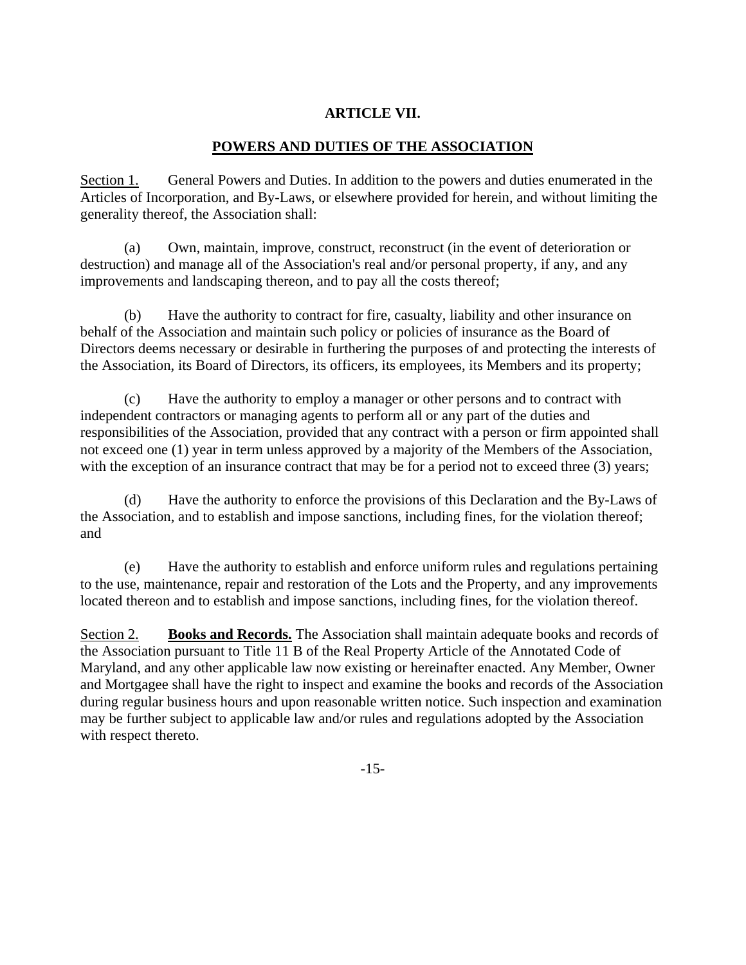# **ARTICLE VII.**

# **POWERS AND DUTIES OF THE ASSOCIATION**

Section 1. General Powers and Duties. In addition to the powers and duties enumerated in the Articles of Incorporation, and By-Laws, or elsewhere provided for herein, and without limiting the generality thereof, the Association shall:

(a) Own, maintain, improve, construct, reconstruct (in the event of deterioration or destruction) and manage all of the Association's real and/or personal property, if any, and any improvements and landscaping thereon, and to pay all the costs thereof;

(b) Have the authority to contract for fire, casualty, liability and other insurance on behalf of the Association and maintain such policy or policies of insurance as the Board of Directors deems necessary or desirable in furthering the purposes of and protecting the interests of the Association, its Board of Directors, its officers, its employees, its Members and its property;

(c) Have the authority to employ a manager or other persons and to contract with independent contractors or managing agents to perform all or any part of the duties and responsibilities of the Association, provided that any contract with a person or firm appointed shall not exceed one (1) year in term unless approved by a majority of the Members of the Association, with the exception of an insurance contract that may be for a period not to exceed three (3) years;

(d) Have the authority to enforce the provisions of this Declaration and the By-Laws of the Association, and to establish and impose sanctions, including fines, for the violation thereof; and

(e) Have the authority to establish and enforce uniform rules and regulations pertaining to the use, maintenance, repair and restoration of the Lots and the Property, and any improvements located thereon and to establish and impose sanctions, including fines, for the violation thereof.

Section 2. **Books and Records.** The Association shall maintain adequate books and records of the Association pursuant to Title 11 B of the Real Property Article of the Annotated Code of Maryland, and any other applicable law now existing or hereinafter enacted. Any Member, Owner and Mortgagee shall have the right to inspect and examine the books and records of the Association during regular business hours and upon reasonable written notice. Such inspection and examination may be further subject to applicable law and/or rules and regulations adopted by the Association with respect thereto.

-15-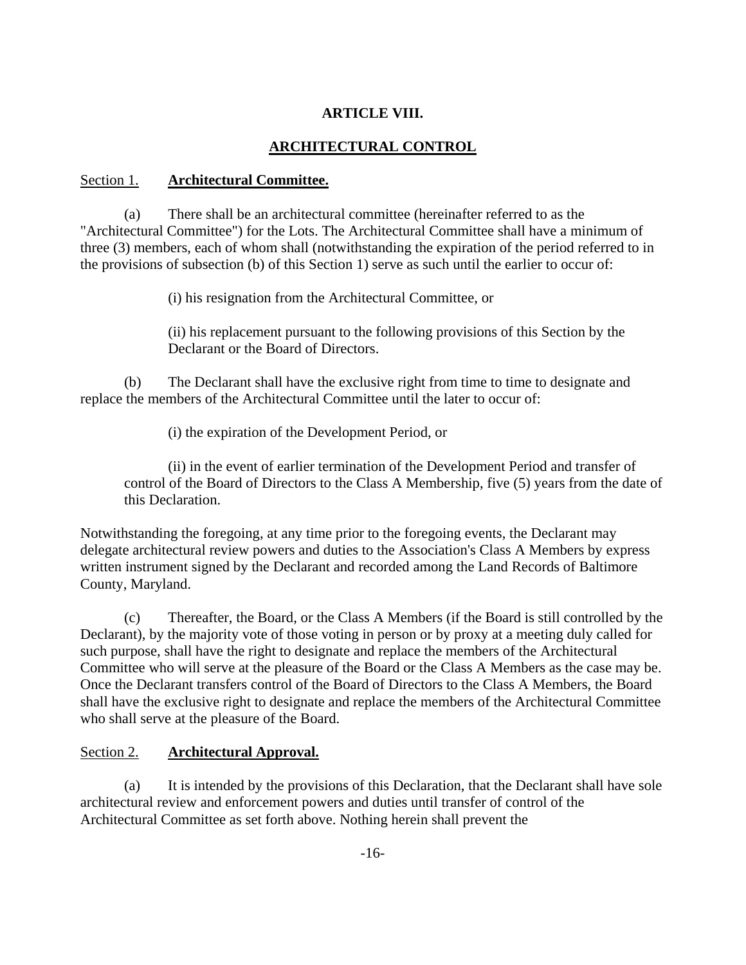#### **ARTICLE VIII.**

# **ARCHITECTURAL CONTROL**

#### Section 1. **Architectural Committee.**

(a) There shall be an architectural committee (hereinafter referred to as the "Architectural Committee") for the Lots. The Architectural Committee shall have a minimum of three (3) members, each of whom shall (notwithstanding the expiration of the period referred to in the provisions of subsection (b) of this Section 1) serve as such until the earlier to occur of:

(i) his resignation from the Architectural Committee, or

(ii) his replacement pursuant to the following provisions of this Section by the Declarant or the Board of Directors.

(b) The Declarant shall have the exclusive right from time to time to designate and replace the members of the Architectural Committee until the later to occur of:

(i) the expiration of the Development Period, or

(ii) in the event of earlier termination of the Development Period and transfer of control of the Board of Directors to the Class A Membership, five (5) years from the date of this Declaration.

Notwithstanding the foregoing, at any time prior to the foregoing events, the Declarant may delegate architectural review powers and duties to the Association's Class A Members by express written instrument signed by the Declarant and recorded among the Land Records of Baltimore County, Maryland.

(c) Thereafter, the Board, or the Class A Members (if the Board is still controlled by the Declarant), by the majority vote of those voting in person or by proxy at a meeting duly called for such purpose, shall have the right to designate and replace the members of the Architectural Committee who will serve at the pleasure of the Board or the Class A Members as the case may be. Once the Declarant transfers control of the Board of Directors to the Class A Members, the Board shall have the exclusive right to designate and replace the members of the Architectural Committee who shall serve at the pleasure of the Board.

#### Section 2. **Architectural Approval.**

(a) It is intended by the provisions of this Declaration, that the Declarant shall have sole architectural review and enforcement powers and duties until transfer of control of the Architectural Committee as set forth above. Nothing herein shall prevent the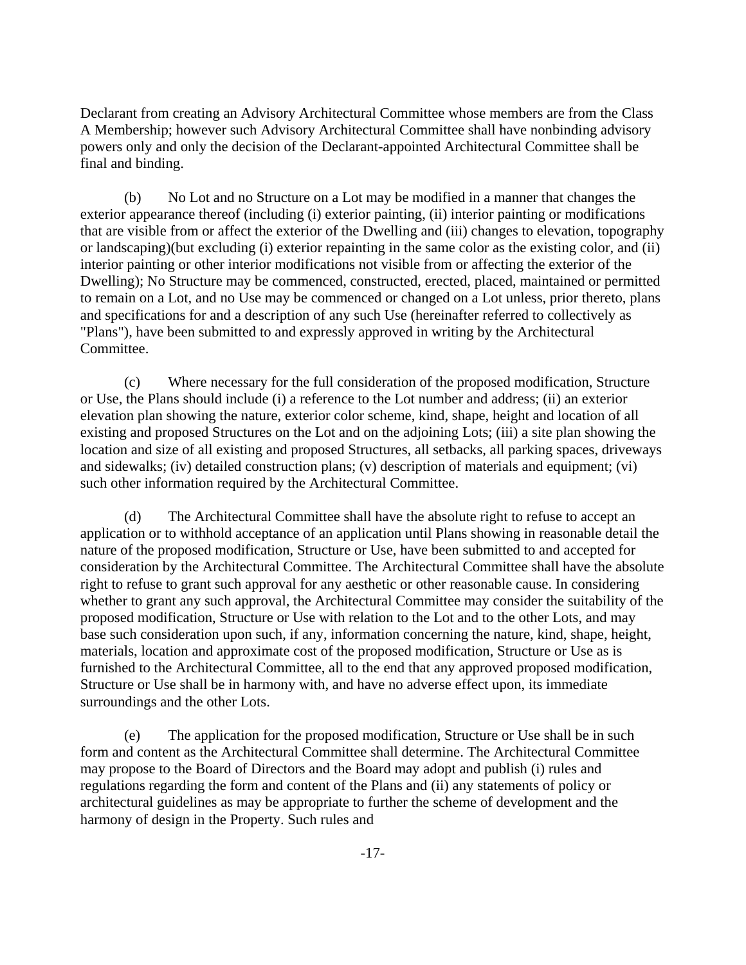Declarant from creating an Advisory Architectural Committee whose members are from the Class A Membership; however such Advisory Architectural Committee shall have nonbinding advisory powers only and only the decision of the Declarant-appointed Architectural Committee shall be final and binding.

 (b) No Lot and no Structure on a Lot may be modified in a manner that changes the exterior appearance thereof (including (i) exterior painting, (ii) interior painting or modifications that are visible from or affect the exterior of the Dwelling and (iii) changes to elevation, topography or landscaping)(but excluding (i) exterior repainting in the same color as the existing color, and (ii) interior painting or other interior modifications not visible from or affecting the exterior of the Dwelling); No Structure may be commenced, constructed, erected, placed, maintained or permitted to remain on a Lot, and no Use may be commenced or changed on a Lot unless, prior thereto, plans and specifications for and a description of any such Use (hereinafter referred to collectively as "Plans"), have been submitted to and expressly approved in writing by the Architectural Committee.

 (c) Where necessary for the full consideration of the proposed modification, Structure or Use, the Plans should include (i) a reference to the Lot number and address; (ii) an exterior elevation plan showing the nature, exterior color scheme, kind, shape, height and location of all existing and proposed Structures on the Lot and on the adjoining Lots; (iii) a site plan showing the location and size of all existing and proposed Structures, all setbacks, all parking spaces, driveways and sidewalks; (iv) detailed construction plans; (v) description of materials and equipment; (vi) such other information required by the Architectural Committee.

 (d) The Architectural Committee shall have the absolute right to refuse to accept an application or to withhold acceptance of an application until Plans showing in reasonable detail the nature of the proposed modification, Structure or Use, have been submitted to and accepted for consideration by the Architectural Committee. The Architectural Committee shall have the absolute right to refuse to grant such approval for any aesthetic or other reasonable cause. In considering whether to grant any such approval, the Architectural Committee may consider the suitability of the proposed modification, Structure or Use with relation to the Lot and to the other Lots, and may base such consideration upon such, if any, information concerning the nature, kind, shape, height, materials, location and approximate cost of the proposed modification, Structure or Use as is furnished to the Architectural Committee, all to the end that any approved proposed modification, Structure or Use shall be in harmony with, and have no adverse effect upon, its immediate surroundings and the other Lots.

 (e) The application for the proposed modification, Structure or Use shall be in such form and content as the Architectural Committee shall determine. The Architectural Committee may propose to the Board of Directors and the Board may adopt and publish (i) rules and regulations regarding the form and content of the Plans and (ii) any statements of policy or architectural guidelines as may be appropriate to further the scheme of development and the harmony of design in the Property. Such rules and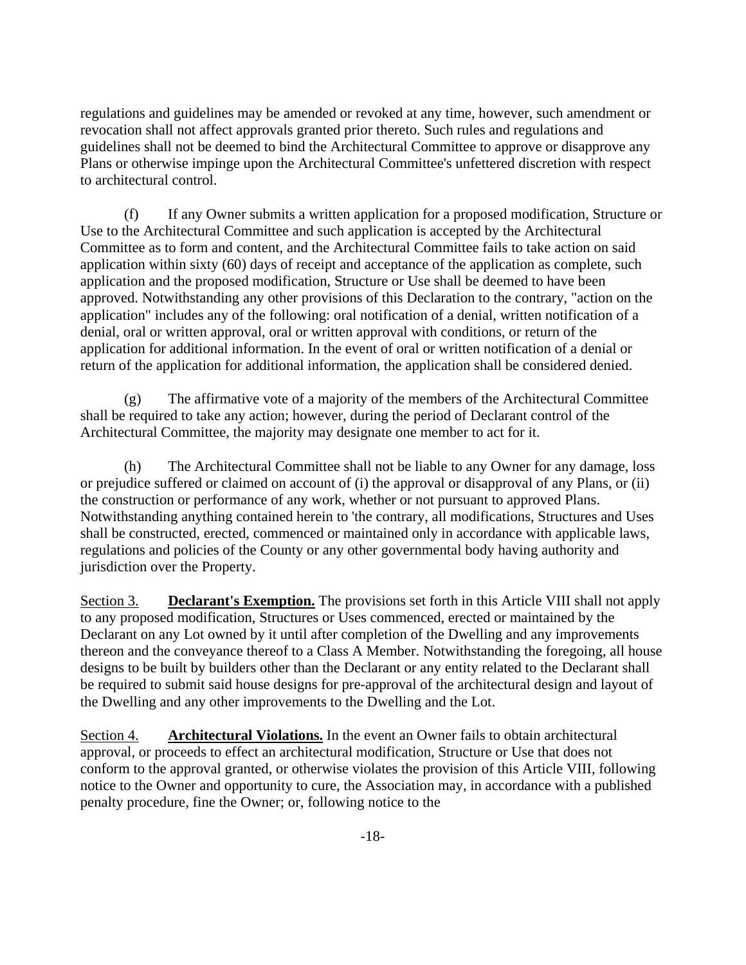regulations and guidelines may be amended or revoked at any time, however, such amendment or revocation shall not affect approvals granted prior thereto. Such rules and regulations and guidelines shall not be deemed to bind the Architectural Committee to approve or disapprove any Plans or otherwise impinge upon the Architectural Committee's unfettered discretion with respect to architectural control.

(f) If any Owner submits a written application for a proposed modification, Structure or Use to the Architectural Committee and such application is accepted by the Architectural Committee as to form and content, and the Architectural Committee fails to take action on said application within sixty (60) days of receipt and acceptance of the application as complete, such application and the proposed modification, Structure or Use shall be deemed to have been approved. Notwithstanding any other provisions of this Declaration to the contrary, "action on the application" includes any of the following: oral notification of a denial, written notification of a denial, oral or written approval, oral or written approval with conditions, or return of the application for additional information. In the event of oral or written notification of a denial or return of the application for additional information, the application shall be considered denied.

(g) The affirmative vote of a majority of the members of the Architectural Committee shall be required to take any action; however, during the period of Declarant control of the Architectural Committee, the majority may designate one member to act for it.

(h) The Architectural Committee shall not be liable to any Owner for any damage, loss or prejudice suffered or claimed on account of (i) the approval or disapproval of any Plans, or (ii) the construction or performance of any work, whether or not pursuant to approved Plans. Notwithstanding anything contained herein to 'the contrary, all modifications, Structures and Uses shall be constructed, erected, commenced or maintained only in accordance with applicable laws, regulations and policies of the County or any other governmental body having authority and jurisdiction over the Property.

Section 3. **Declarant's Exemption.** The provisions set forth in this Article VIII shall not apply to any proposed modification, Structures or Uses commenced, erected or maintained by the Declarant on any Lot owned by it until after completion of the Dwelling and any improvements thereon and the conveyance thereof to a Class A Member. Notwithstanding the foregoing, all house designs to be built by builders other than the Declarant or any entity related to the Declarant shall be required to submit said house designs for pre-approval of the architectural design and layout of the Dwelling and any other improvements to the Dwelling and the Lot.

Section 4. **Architectural Violations.** In the event an Owner fails to obtain architectural approval, or proceeds to effect an architectural modification, Structure or Use that does not conform to the approval granted, or otherwise violates the provision of this Article VIII, following notice to the Owner and opportunity to cure, the Association may, in accordance with a published penalty procedure, fine the Owner; or, following notice to the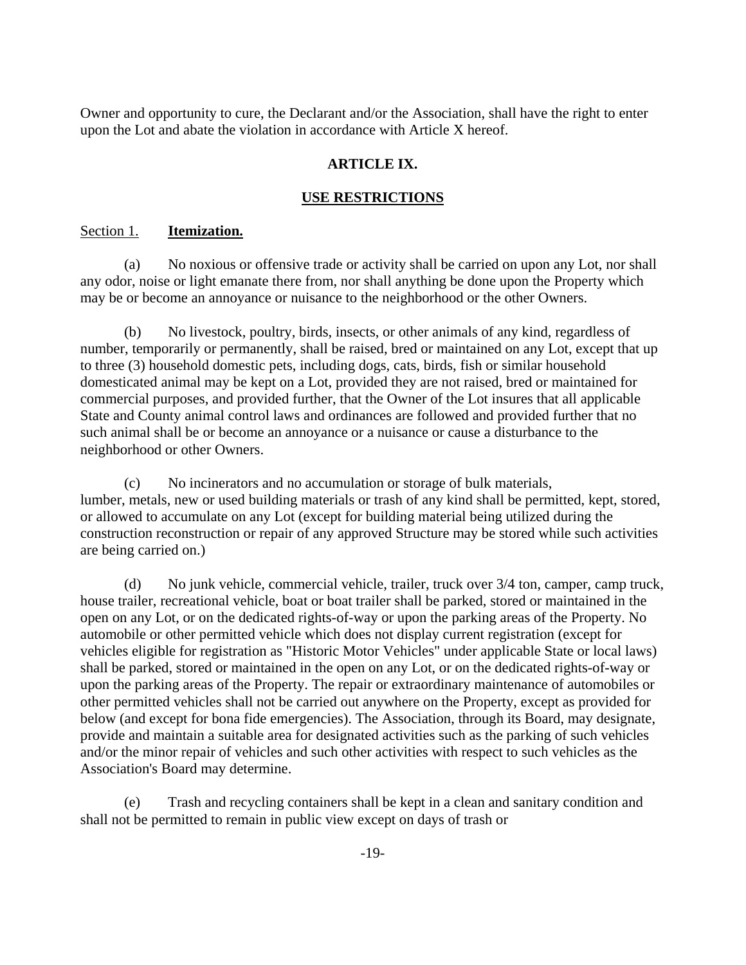Owner and opportunity to cure, the Declarant and/or the Association, shall have the right to enter upon the Lot and abate the violation in accordance with Article X hereof.

# **ARTICLE IX.**

# **USE RESTRICTIONS**

#### Section 1. **Itemization.**

(a) No noxious or offensive trade or activity shall be carried on upon any Lot, nor shall any odor, noise or light emanate there from, nor shall anything be done upon the Property which may be or become an annoyance or nuisance to the neighborhood or the other Owners.

(b) No livestock, poultry, birds, insects, or other animals of any kind, regardless of number, temporarily or permanently, shall be raised, bred or maintained on any Lot, except that up to three (3) household domestic pets, including dogs, cats, birds, fish or similar household domesticated animal may be kept on a Lot, provided they are not raised, bred or maintained for commercial purposes, and provided further, that the Owner of the Lot insures that all applicable State and County animal control laws and ordinances are followed and provided further that no such animal shall be or become an annoyance or a nuisance or cause a disturbance to the neighborhood or other Owners.

(c) No incinerators and no accumulation or storage of bulk materials, lumber, metals, new or used building materials or trash of any kind shall be permitted, kept, stored, or allowed to accumulate on any Lot (except for building material being utilized during the construction reconstruction or repair of any approved Structure may be stored while such activities are being carried on.)

(d) No junk vehicle, commercial vehicle, trailer, truck over 3/4 ton, camper, camp truck, house trailer, recreational vehicle, boat or boat trailer shall be parked, stored or maintained in the open on any Lot, or on the dedicated rights-of-way or upon the parking areas of the Property. No automobile or other permitted vehicle which does not display current registration (except for vehicles eligible for registration as "Historic Motor Vehicles" under applicable State or local laws) shall be parked, stored or maintained in the open on any Lot, or on the dedicated rights-of-way or upon the parking areas of the Property. The repair or extraordinary maintenance of automobiles or other permitted vehicles shall not be carried out anywhere on the Property, except as provided for below (and except for bona fide emergencies). The Association, through its Board, may designate, provide and maintain a suitable area for designated activities such as the parking of such vehicles and/or the minor repair of vehicles and such other activities with respect to such vehicles as the Association's Board may determine.

(e) Trash and recycling containers shall be kept in a clean and sanitary condition and shall not be permitted to remain in public view except on days of trash or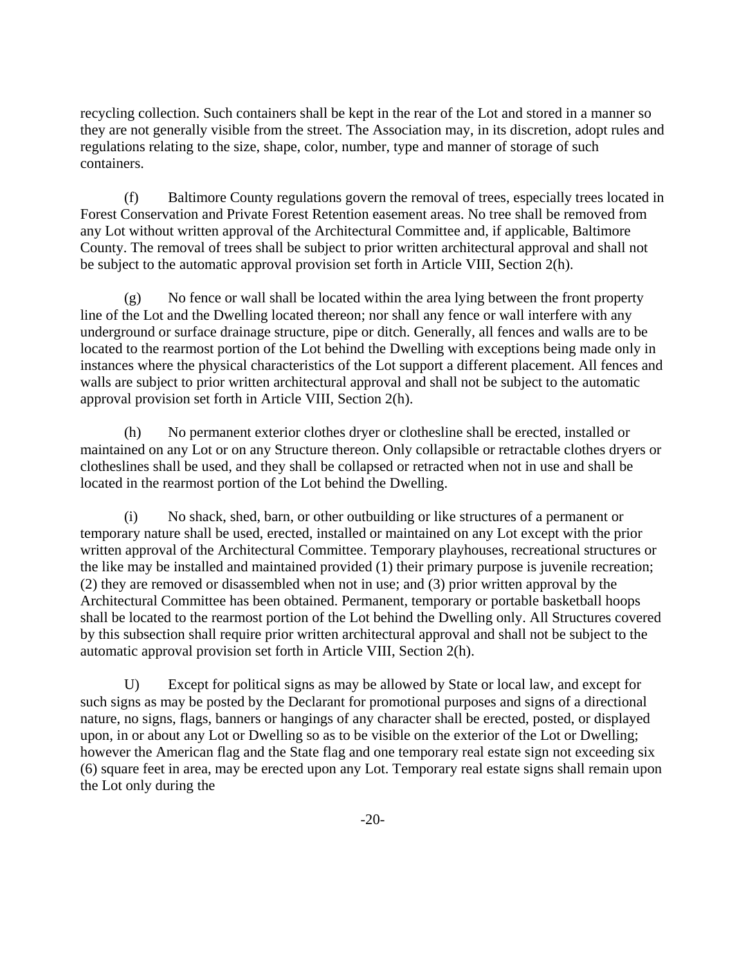recycling collection. Such containers shall be kept in the rear of the Lot and stored in a manner so they are not generally visible from the street. The Association may, in its discretion, adopt rules and regulations relating to the size, shape, color, number, type and manner of storage of such containers.

(f) Baltimore County regulations govern the removal of trees, especially trees located in Forest Conservation and Private Forest Retention easement areas. No tree shall be removed from any Lot without written approval of the Architectural Committee and, if applicable, Baltimore County. The removal of trees shall be subject to prior written architectural approval and shall not be subject to the automatic approval provision set forth in Article VIII, Section 2(h).

(g) No fence or wall shall be located within the area lying between the front property line of the Lot and the Dwelling located thereon; nor shall any fence or wall interfere with any underground or surface drainage structure, pipe or ditch. Generally, all fences and walls are to be located to the rearmost portion of the Lot behind the Dwelling with exceptions being made only in instances where the physical characteristics of the Lot support a different placement. All fences and walls are subject to prior written architectural approval and shall not be subject to the automatic approval provision set forth in Article VIII, Section 2(h).

(h) No permanent exterior clothes dryer or clothesline shall be erected, installed or maintained on any Lot or on any Structure thereon. Only collapsible or retractable clothes dryers or clotheslines shall be used, and they shall be collapsed or retracted when not in use and shall be located in the rearmost portion of the Lot behind the Dwelling.

(i) No shack, shed, barn, or other outbuilding or like structures of a permanent or temporary nature shall be used, erected, installed or maintained on any Lot except with the prior written approval of the Architectural Committee. Temporary playhouses, recreational structures or the like may be installed and maintained provided (1) their primary purpose is juvenile recreation; (2) they are removed or disassembled when not in use; and (3) prior written approval by the Architectural Committee has been obtained. Permanent, temporary or portable basketball hoops shall be located to the rearmost portion of the Lot behind the Dwelling only. All Structures covered by this subsection shall require prior written architectural approval and shall not be subject to the automatic approval provision set forth in Article VIII, Section 2(h).

U) Except for political signs as may be allowed by State or local law, and except for such signs as may be posted by the Declarant for promotional purposes and signs of a directional nature, no signs, flags, banners or hangings of any character shall be erected, posted, or displayed upon, in or about any Lot or Dwelling so as to be visible on the exterior of the Lot or Dwelling; however the American flag and the State flag and one temporary real estate sign not exceeding six (6) square feet in area, may be erected upon any Lot. Temporary real estate signs shall remain upon the Lot only during the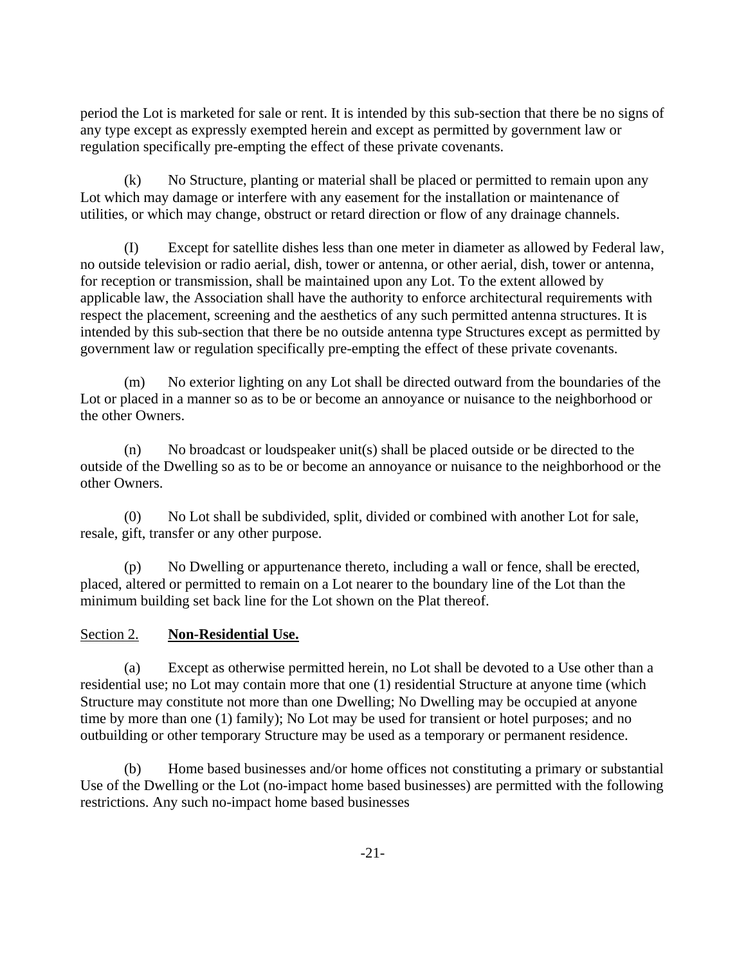period the Lot is marketed for sale or rent. It is intended by this sub-section that there be no signs of any type except as expressly exempted herein and except as permitted by government law or regulation specifically pre-empting the effect of these private covenants.

(k) No Structure, planting or material shall be placed or permitted to remain upon any Lot which may damage or interfere with any easement for the installation or maintenance of utilities, or which may change, obstruct or retard direction or flow of any drainage channels.

(I) Except for satellite dishes less than one meter in diameter as allowed by Federal law, no outside television or radio aerial, dish, tower or antenna, or other aerial, dish, tower or antenna, for reception or transmission, shall be maintained upon any Lot. To the extent allowed by applicable law, the Association shall have the authority to enforce architectural requirements with respect the placement, screening and the aesthetics of any such permitted antenna structures. It is intended by this sub-section that there be no outside antenna type Structures except as permitted by government law or regulation specifically pre-empting the effect of these private covenants.

(m) No exterior lighting on any Lot shall be directed outward from the boundaries of the Lot or placed in a manner so as to be or become an annoyance or nuisance to the neighborhood or the other Owners.

(n) No broadcast or loudspeaker unit(s) shall be placed outside or be directed to the outside of the Dwelling so as to be or become an annoyance or nuisance to the neighborhood or the other Owners.

(0) No Lot shall be subdivided, split, divided or combined with another Lot for sale, resale, gift, transfer or any other purpose.

(p) No Dwelling or appurtenance thereto, including a wall or fence, shall be erected, placed, altered or permitted to remain on a Lot nearer to the boundary line of the Lot than the minimum building set back line for the Lot shown on the Plat thereof.

# Section 2. **Non-Residential Use.**

(a) Except as otherwise permitted herein, no Lot shall be devoted to a Use other than a residential use; no Lot may contain more that one (1) residential Structure at anyone time (which Structure may constitute not more than one Dwelling; No Dwelling may be occupied at anyone time by more than one (1) family); No Lot may be used for transient or hotel purposes; and no outbuilding or other temporary Structure may be used as a temporary or permanent residence.

(b) Home based businesses and/or home offices not constituting a primary or substantial Use of the Dwelling or the Lot (no-impact home based businesses) are permitted with the following restrictions. Any such no-impact home based businesses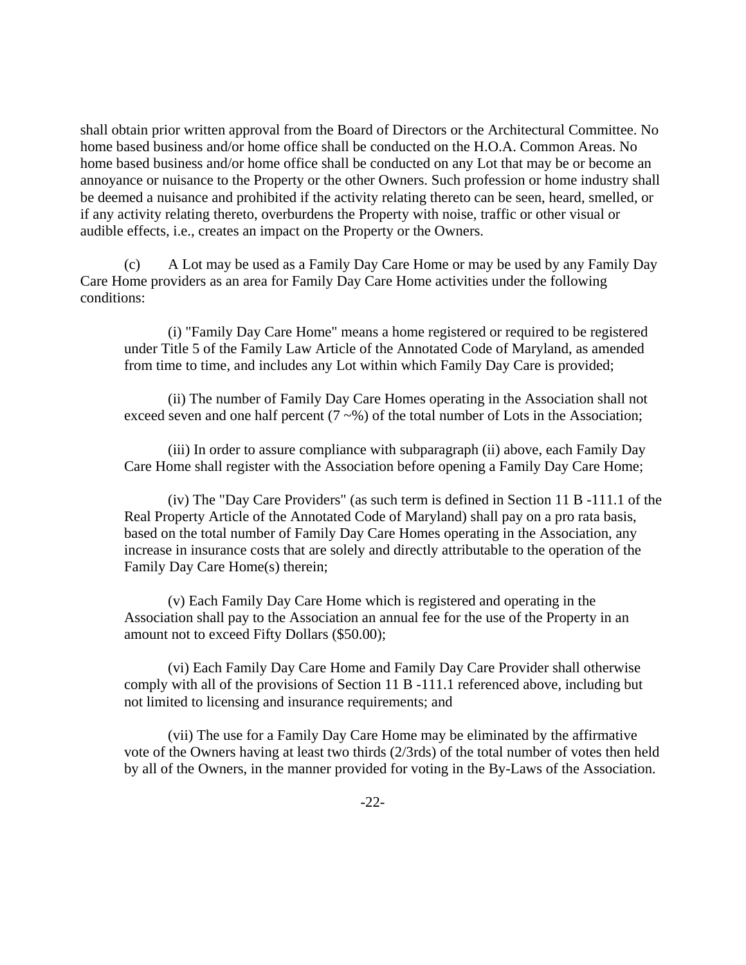shall obtain prior written approval from the Board of Directors or the Architectural Committee. No home based business and/or home office shall be conducted on the H.O.A. Common Areas. No home based business and/or home office shall be conducted on any Lot that may be or become an annoyance or nuisance to the Property or the other Owners. Such profession or home industry shall be deemed a nuisance and prohibited if the activity relating thereto can be seen, heard, smelled, or if any activity relating thereto, overburdens the Property with noise, traffic or other visual or audible effects, i.e., creates an impact on the Property or the Owners.

(c) A Lot may be used as a Family Day Care Home or may be used by any Family Day Care Home providers as an area for Family Day Care Home activities under the following conditions:

(i) "Family Day Care Home" means a home registered or required to be registered under Title 5 of the Family Law Article of the Annotated Code of Maryland, as amended from time to time, and includes any Lot within which Family Day Care is provided;

(ii) The number of Family Day Care Homes operating in the Association shall not exceed seven and one half percent  $(7 \sim \%)$  of the total number of Lots in the Association;

(iii) In order to assure compliance with subparagraph (ii) above, each Family Day Care Home shall register with the Association before opening a Family Day Care Home;

(iv) The "Day Care Providers" (as such term is defined in Section 11 B -111.1 of the Real Property Article of the Annotated Code of Maryland) shall pay on a pro rata basis, based on the total number of Family Day Care Homes operating in the Association, any increase in insurance costs that are solely and directly attributable to the operation of the Family Day Care Home(s) therein;

(v) Each Family Day Care Home which is registered and operating in the Association shall pay to the Association an annual fee for the use of the Property in an amount not to exceed Fifty Dollars (\$50.00);

(vi) Each Family Day Care Home and Family Day Care Provider shall otherwise comply with all of the provisions of Section 11 B -111.1 referenced above, including but not limited to licensing and insurance requirements; and

(vii) The use for a Family Day Care Home may be eliminated by the affirmative vote of the Owners having at least two thirds (2/3rds) of the total number of votes then held by all of the Owners, in the manner provided for voting in the By-Laws of the Association.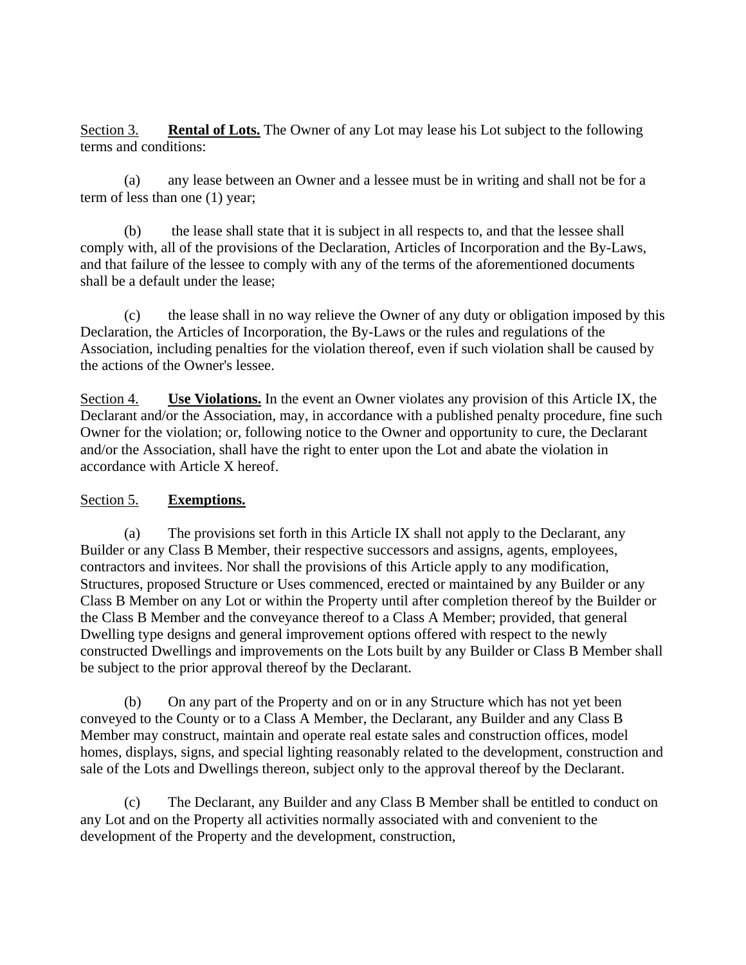Section 3. **Rental of Lots.** The Owner of any Lot may lease his Lot subject to the following terms and conditions:

(a) any lease between an Owner and a lessee must be in writing and shall not be for a term of less than one (1) year;

(b) the lease shall state that it is subject in all respects to, and that the lessee shall comply with, all of the provisions of the Declaration, Articles of Incorporation and the By-Laws, and that failure of the lessee to comply with any of the terms of the aforementioned documents shall be a default under the lease;

(c) the lease shall in no way relieve the Owner of any duty or obligation imposed by this Declaration, the Articles of Incorporation, the By-Laws or the rules and regulations of the Association, including penalties for the violation thereof, even if such violation shall be caused by the actions of the Owner's lessee.

Section 4. **Use Violations.** In the event an Owner violates any provision of this Article IX, the Declarant and/or the Association, may, in accordance with a published penalty procedure, fine such Owner for the violation; or, following notice to the Owner and opportunity to cure, the Declarant and/or the Association, shall have the right to enter upon the Lot and abate the violation in accordance with Article X hereof.

# Section 5. **Exemptions.**

(a) The provisions set forth in this Article IX shall not apply to the Declarant, any Builder or any Class B Member, their respective successors and assigns, agents, employees, contractors and invitees. Nor shall the provisions of this Article apply to any modification, Structures, proposed Structure or Uses commenced, erected or maintained by any Builder or any Class B Member on any Lot or within the Property until after completion thereof by the Builder or the Class B Member and the conveyance thereof to a Class A Member; provided, that general Dwelling type designs and general improvement options offered with respect to the newly constructed Dwellings and improvements on the Lots built by any Builder or Class B Member shall be subject to the prior approval thereof by the Declarant.

(b) On any part of the Property and on or in any Structure which has not yet been conveyed to the County or to a Class A Member, the Declarant, any Builder and any Class B Member may construct, maintain and operate real estate sales and construction offices, model homes, displays, signs, and special lighting reasonably related to the development, construction and sale of the Lots and Dwellings thereon, subject only to the approval thereof by the Declarant.

(c) The Declarant, any Builder and any Class B Member shall be entitled to conduct on any Lot and on the Property all activities normally associated with and convenient to the development of the Property and the development, construction,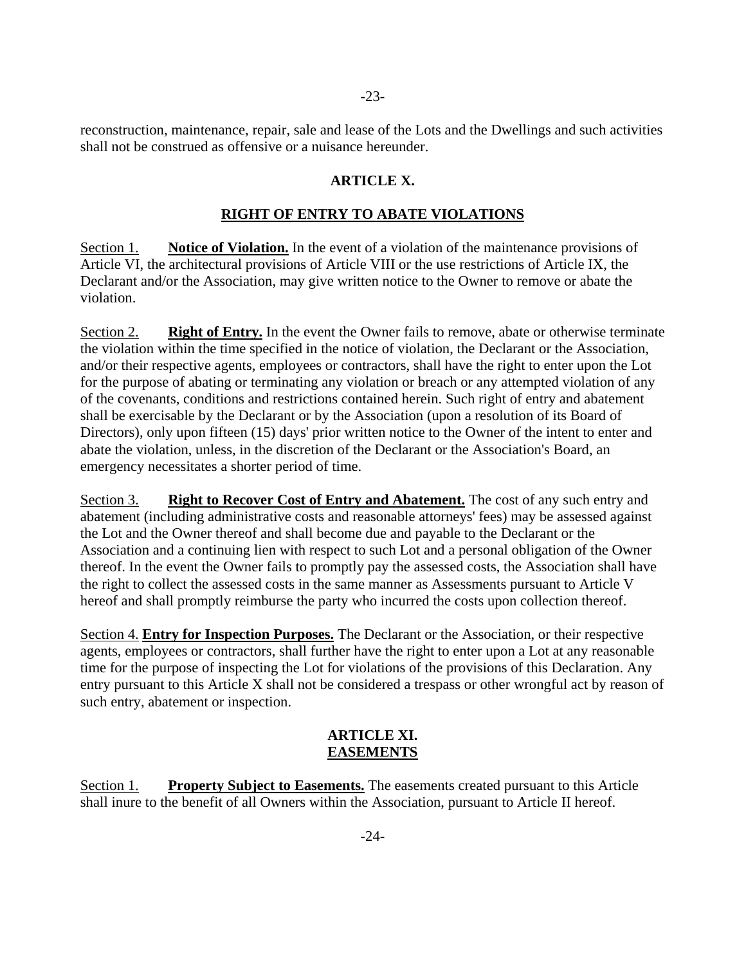reconstruction, maintenance, repair, sale and lease of the Lots and the Dwellings and such activities shall not be construed as offensive or a nuisance hereunder.

### **ARTICLE X.**

#### **RIGHT OF ENTRY TO ABATE VIOLATIONS**

Section 1. **Notice of Violation.** In the event of a violation of the maintenance provisions of Article VI, the architectural provisions of Article VIII or the use restrictions of Article IX, the Declarant and/or the Association, may give written notice to the Owner to remove or abate the violation.

Section 2. **Right of Entry.** In the event the Owner fails to remove, abate or otherwise terminate the violation within the time specified in the notice of violation, the Declarant or the Association, and/or their respective agents, employees or contractors, shall have the right to enter upon the Lot for the purpose of abating or terminating any violation or breach or any attempted violation of any of the covenants, conditions and restrictions contained herein. Such right of entry and abatement shall be exercisable by the Declarant or by the Association (upon a resolution of its Board of Directors), only upon fifteen (15) days' prior written notice to the Owner of the intent to enter and abate the violation, unless, in the discretion of the Declarant or the Association's Board, an emergency necessitates a shorter period of time.

Section 3. **Right to Recover Cost of Entry and Abatement.** The cost of any such entry and abatement (including administrative costs and reasonable attorneys' fees) may be assessed against the Lot and the Owner thereof and shall become due and payable to the Declarant or the Association and a continuing lien with respect to such Lot and a personal obligation of the Owner thereof. In the event the Owner fails to promptly pay the assessed costs, the Association shall have the right to collect the assessed costs in the same manner as Assessments pursuant to Article V hereof and shall promptly reimburse the party who incurred the costs upon collection thereof.

Section 4. **Entry for Inspection Purposes.** The Declarant or the Association, or their respective agents, employees or contractors, shall further have the right to enter upon a Lot at any reasonable time for the purpose of inspecting the Lot for violations of the provisions of this Declaration. Any entry pursuant to this Article X shall not be considered a trespass or other wrongful act by reason of such entry, abatement or inspection.

#### **ARTICLE XI. EASEMENTS**

Section 1. **Property Subject to Easements.** The easements created pursuant to this Article shall inure to the benefit of all Owners within the Association, pursuant to Article II hereof.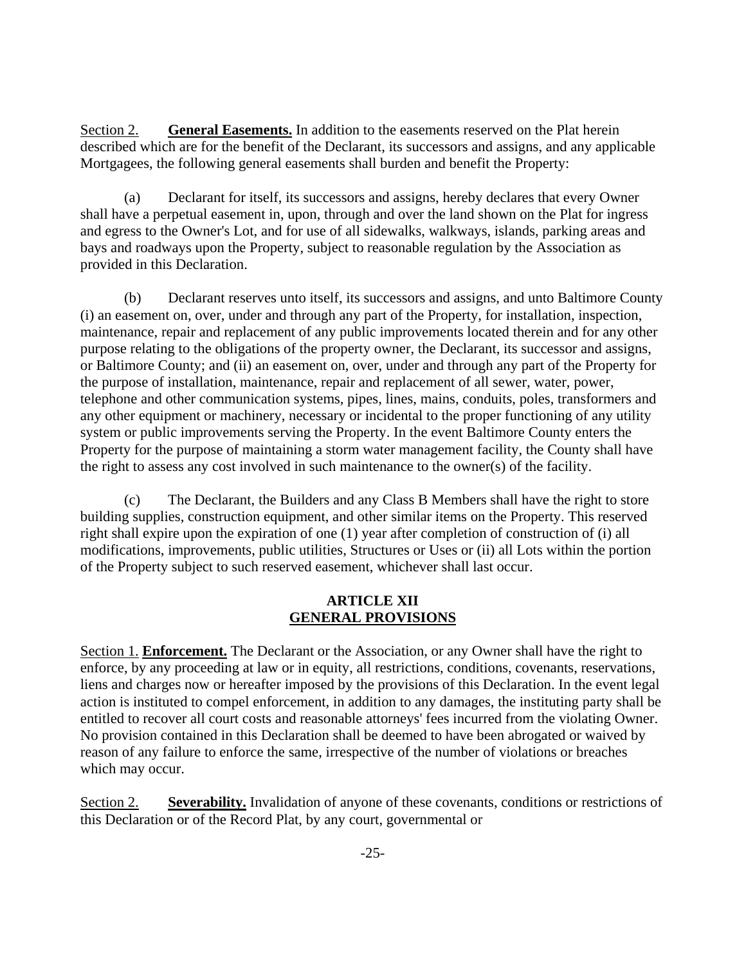Section 2. **General Easements.** In addition to the easements reserved on the Plat herein described which are for the benefit of the Declarant, its successors and assigns, and any applicable Mortgagees, the following general easements shall burden and benefit the Property:

(a) Declarant for itself, its successors and assigns, hereby declares that every Owner shall have a perpetual easement in, upon, through and over the land shown on the Plat for ingress and egress to the Owner's Lot, and for use of all sidewalks, walkways, islands, parking areas and bays and roadways upon the Property, subject to reasonable regulation by the Association as provided in this Declaration.

(b) Declarant reserves unto itself, its successors and assigns, and unto Baltimore County (i) an easement on, over, under and through any part of the Property, for installation, inspection, maintenance, repair and replacement of any public improvements located therein and for any other purpose relating to the obligations of the property owner, the Declarant, its successor and assigns, or Baltimore County; and (ii) an easement on, over, under and through any part of the Property for the purpose of installation, maintenance, repair and replacement of all sewer, water, power, telephone and other communication systems, pipes, lines, mains, conduits, poles, transformers and any other equipment or machinery, necessary or incidental to the proper functioning of any utility system or public improvements serving the Property. In the event Baltimore County enters the Property for the purpose of maintaining a storm water management facility, the County shall have the right to assess any cost involved in such maintenance to the owner(s) of the facility.

(c) The Declarant, the Builders and any Class B Members shall have the right to store building supplies, construction equipment, and other similar items on the Property. This reserved right shall expire upon the expiration of one (1) year after completion of construction of (i) all modifications, improvements, public utilities, Structures or Uses or (ii) all Lots within the portion of the Property subject to such reserved easement, whichever shall last occur.

#### **ARTICLE XII GENERAL PROVISIONS**

Section 1. **Enforcement.** The Declarant or the Association, or any Owner shall have the right to enforce, by any proceeding at law or in equity, all restrictions, conditions, covenants, reservations, liens and charges now or hereafter imposed by the provisions of this Declaration. In the event legal action is instituted to compel enforcement, in addition to any damages, the instituting party shall be entitled to recover all court costs and reasonable attorneys' fees incurred from the violating Owner. No provision contained in this Declaration shall be deemed to have been abrogated or waived by reason of any failure to enforce the same, irrespective of the number of violations or breaches which may occur.

Section 2. **Severability.** Invalidation of anyone of these covenants, conditions or restrictions of this Declaration or of the Record Plat, by any court, governmental or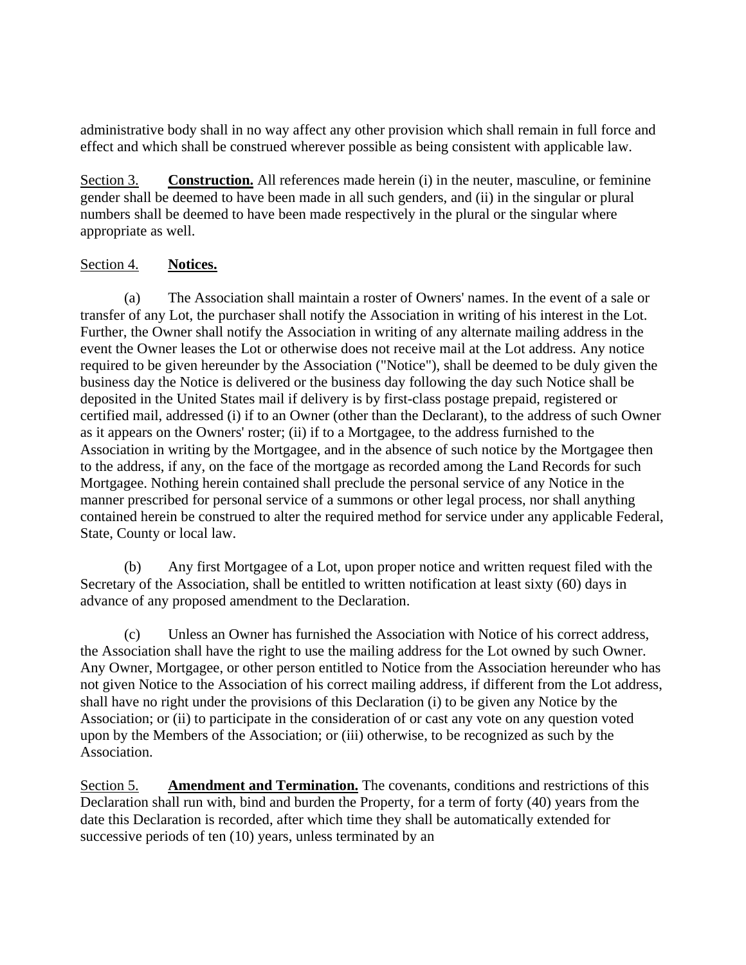administrative body shall in no way affect any other provision which shall remain in full force and effect and which shall be construed wherever possible as being consistent with applicable law.

Section 3. **Construction.** All references made herein (i) in the neuter, masculine, or feminine gender shall be deemed to have been made in all such genders, and (ii) in the singular or plural numbers shall be deemed to have been made respectively in the plural or the singular where appropriate as well.

# Section 4. **Notices.**

(a) The Association shall maintain a roster of Owners' names. In the event of a sale or transfer of any Lot, the purchaser shall notify the Association in writing of his interest in the Lot. Further, the Owner shall notify the Association in writing of any alternate mailing address in the event the Owner leases the Lot or otherwise does not receive mail at the Lot address. Any notice required to be given hereunder by the Association ("Notice"), shall be deemed to be duly given the business day the Notice is delivered or the business day following the day such Notice shall be deposited in the United States mail if delivery is by first-class postage prepaid, registered or certified mail, addressed (i) if to an Owner (other than the Declarant), to the address of such Owner as it appears on the Owners' roster; (ii) if to a Mortgagee, to the address furnished to the Association in writing by the Mortgagee, and in the absence of such notice by the Mortgagee then to the address, if any, on the face of the mortgage as recorded among the Land Records for such Mortgagee. Nothing herein contained shall preclude the personal service of any Notice in the manner prescribed for personal service of a summons or other legal process, nor shall anything contained herein be construed to alter the required method for service under any applicable Federal, State, County or local law.

(b) Any first Mortgagee of a Lot, upon proper notice and written request filed with the Secretary of the Association, shall be entitled to written notification at least sixty (60) days in advance of any proposed amendment to the Declaration.

(c) Unless an Owner has furnished the Association with Notice of his correct address, the Association shall have the right to use the mailing address for the Lot owned by such Owner. Any Owner, Mortgagee, or other person entitled to Notice from the Association hereunder who has not given Notice to the Association of his correct mailing address, if different from the Lot address, shall have no right under the provisions of this Declaration (i) to be given any Notice by the Association; or (ii) to participate in the consideration of or cast any vote on any question voted upon by the Members of the Association; or (iii) otherwise, to be recognized as such by the Association.

Section 5. **Amendment and Termination.** The covenants, conditions and restrictions of this Declaration shall run with, bind and burden the Property, for a term of forty (40) years from the date this Declaration is recorded, after which time they shall be automatically extended for successive periods of ten  $(10)$  years, unless terminated by an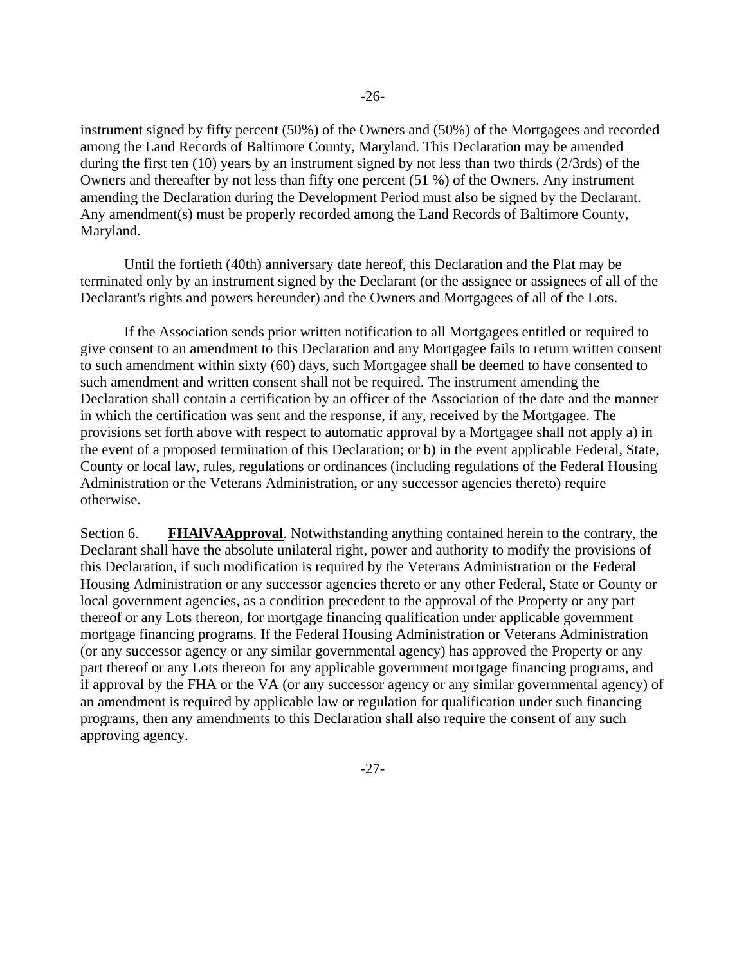instrument signed by fifty percent (50%) of the Owners and (50%) of the Mortgagees and recorded among the Land Records of Baltimore County, Maryland. This Declaration may be amended during the first ten (10) years by an instrument signed by not less than two thirds (2/3rds) of the Owners and thereafter by not less than fifty one percent (51 %) of the Owners. Any instrument amending the Declaration during the Development Period must also be signed by the Declarant. Any amendment(s) must be properly recorded among the Land Records of Baltimore County, Maryland.

Until the fortieth (40th) anniversary date hereof, this Declaration and the Plat may be terminated only by an instrument signed by the Declarant (or the assignee or assignees of all of the Declarant's rights and powers hereunder) and the Owners and Mortgagees of all of the Lots.

If the Association sends prior written notification to all Mortgagees entitled or required to give consent to an amendment to this Declaration and any Mortgagee fails to return written consent to such amendment within sixty (60) days, such Mortgagee shall be deemed to have consented to such amendment and written consent shall not be required. The instrument amending the Declaration shall contain a certification by an officer of the Association of the date and the manner in which the certification was sent and the response, if any, received by the Mortgagee. The provisions set forth above with respect to automatic approval by a Mortgagee shall not apply a) in the event of a proposed termination of this Declaration; or b) in the event applicable Federal, State, County or local law, rules, regulations or ordinances (including regulations of the Federal Housing Administration or the Veterans Administration, or any successor agencies thereto) require otherwise.

Section 6. **FHAlVAApproval**. Notwithstanding anything contained herein to the contrary, the Declarant shall have the absolute unilateral right, power and authority to modify the provisions of this Declaration, if such modification is required by the Veterans Administration or the Federal Housing Administration or any successor agencies thereto or any other Federal, State or County or local government agencies, as a condition precedent to the approval of the Property or any part thereof or any Lots thereon, for mortgage financing qualification under applicable government mortgage financing programs. If the Federal Housing Administration or Veterans Administration (or any successor agency or any similar governmental agency) has approved the Property or any part thereof or any Lots thereon for any applicable government mortgage financing programs, and if approval by the FHA or the VA (or any successor agency or any similar governmental agency) of an amendment is required by applicable law or regulation for qualification under such financing programs, then any amendments to this Declaration shall also require the consent of any such approving agency.

-27-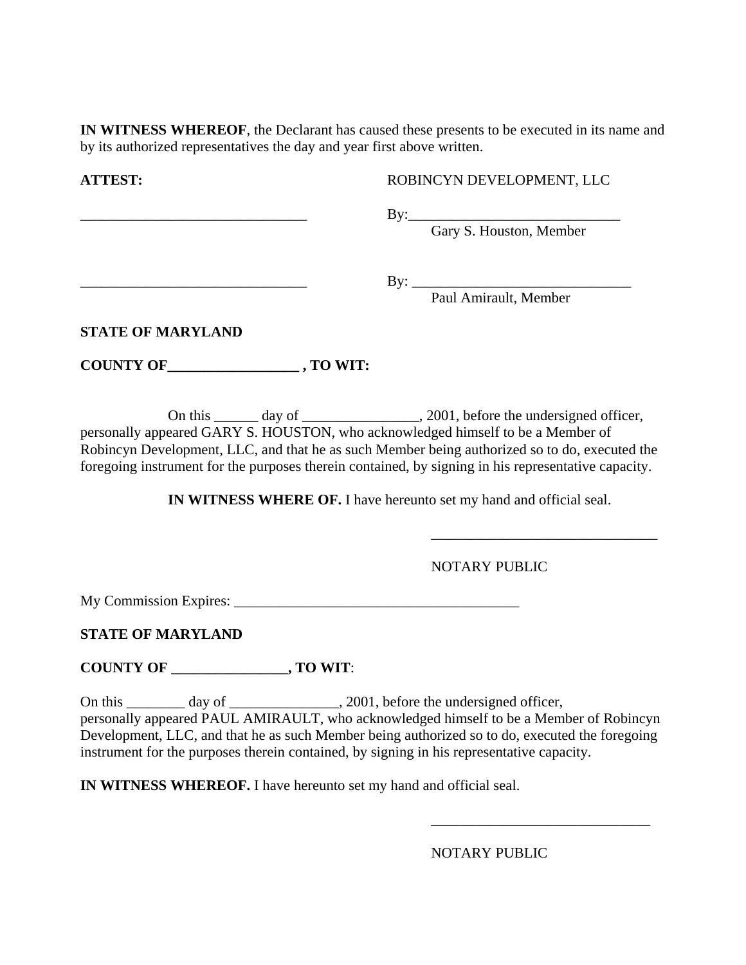**IN WITNESS WHEREOF**, the Declarant has caused these presents to be executed in its name and by its authorized representatives the day and year first above written.

**ATTEST:** ROBINCYN DEVELOPMENT, LLC

\_\_\_\_\_\_\_\_\_\_\_\_\_\_\_\_\_\_\_\_\_\_\_\_\_\_\_\_\_\_\_ By:\_\_\_\_\_\_\_\_\_\_\_\_\_\_\_\_\_\_\_\_\_\_\_\_\_\_\_\_\_

Gary S. Houston, Member

\_\_\_\_\_\_\_\_\_\_\_\_\_\_\_\_\_\_\_\_\_\_\_\_\_\_\_\_\_\_\_ By: \_\_\_\_\_\_\_\_\_\_\_\_\_\_\_\_\_\_\_\_\_\_\_\_\_\_\_\_\_\_

Paul Amirault, Member

**STATE OF MARYLAND** 

**COUNTY OF\_\_\_\_\_\_\_\_\_\_\_\_\_\_\_\_\_\_ , TO WIT:** 

On this \_\_\_\_\_\_ day of \_\_\_\_\_\_\_\_\_\_\_\_\_\_\_\_, 2001, before the undersigned officer, personally appeared GARY S. HOUSTON, who acknowledged himself to be a Member of Robincyn Development, LLC, and that he as such Member being authorized so to do, executed the foregoing instrument for the purposes therein contained, by signing in his representative capacity.

 $\overline{\phantom{a}}$  , and the contract of the contract of the contract of the contract of the contract of the contract of the contract of the contract of the contract of the contract of the contract of the contract of the contrac

**IN WITNESS WHERE OF.** I have hereunto set my hand and official seal.

NOTARY PUBLIC

My Commission Expires: \_\_\_\_\_\_\_\_\_\_\_\_\_\_\_\_\_\_\_\_\_\_\_\_\_\_\_\_\_\_\_\_\_\_\_\_\_\_\_

**STATE OF MARYLAND** 

**COUNTY OF \_\_\_\_\_\_\_\_\_\_\_\_\_\_\_\_, TO WIT**:

On this \_\_\_\_\_\_\_ day of \_\_\_\_\_\_\_\_\_\_\_\_\_, 2001, before the undersigned officer, personally appeared PAUL AMIRAULT, who acknowledged himself to be a Member of Robincyn Development, LLC, and that he as such Member being authorized so to do, executed the foregoing instrument for the purposes therein contained, by signing in his representative capacity.

 $\overline{\phantom{a}}$  , and the contract of the contract of the contract of the contract of the contract of the contract of the contract of the contract of the contract of the contract of the contract of the contract of the contrac

**IN WITNESS WHEREOF.** I have hereunto set my hand and official seal.

NOTARY PUBLIC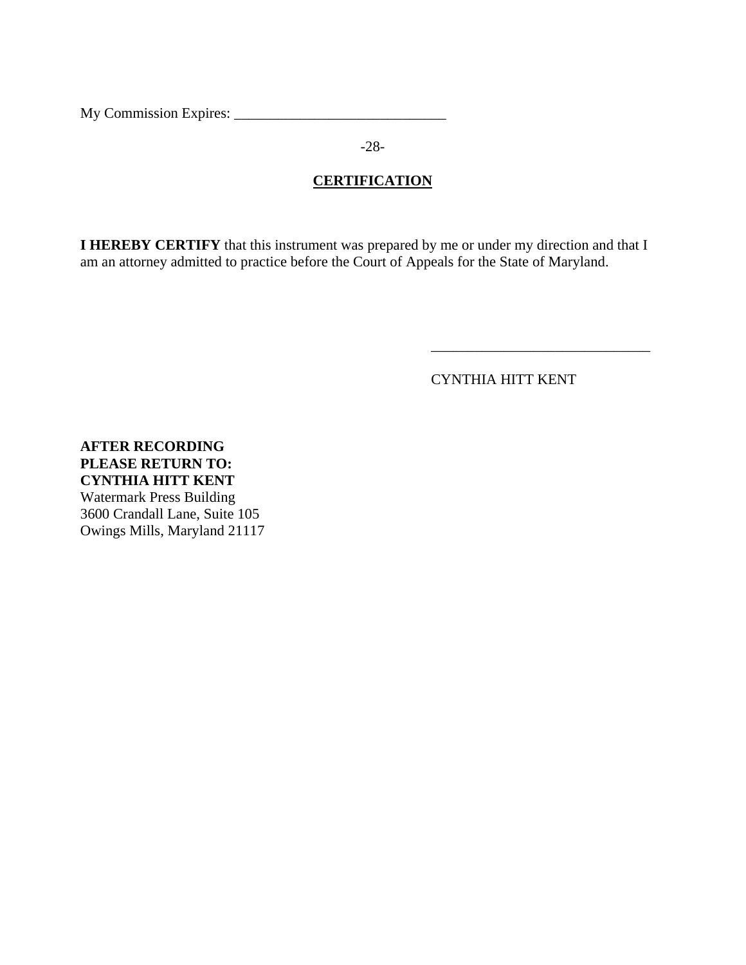My Commission Expires: \_\_\_\_\_\_\_\_\_\_\_\_\_\_\_\_\_\_\_\_\_\_\_\_\_\_\_\_\_

-28-

# **CERTIFICATION**

**I HEREBY CERTIFY** that this instrument was prepared by me or under my direction and that I am an attorney admitted to practice before the Court of Appeals for the State of Maryland.

 $\overline{\phantom{a}}$  , and the contract of the contract of the contract of the contract of the contract of the contract of the contract of the contract of the contract of the contract of the contract of the contract of the contrac

CYNTHIA HITT KENT

**AFTER RECORDING PLEASE RETURN TO: CYNTHIA HITT KENT**  Watermark Press Building 3600 Crandall Lane, Suite 105 Owings Mills, Maryland 21117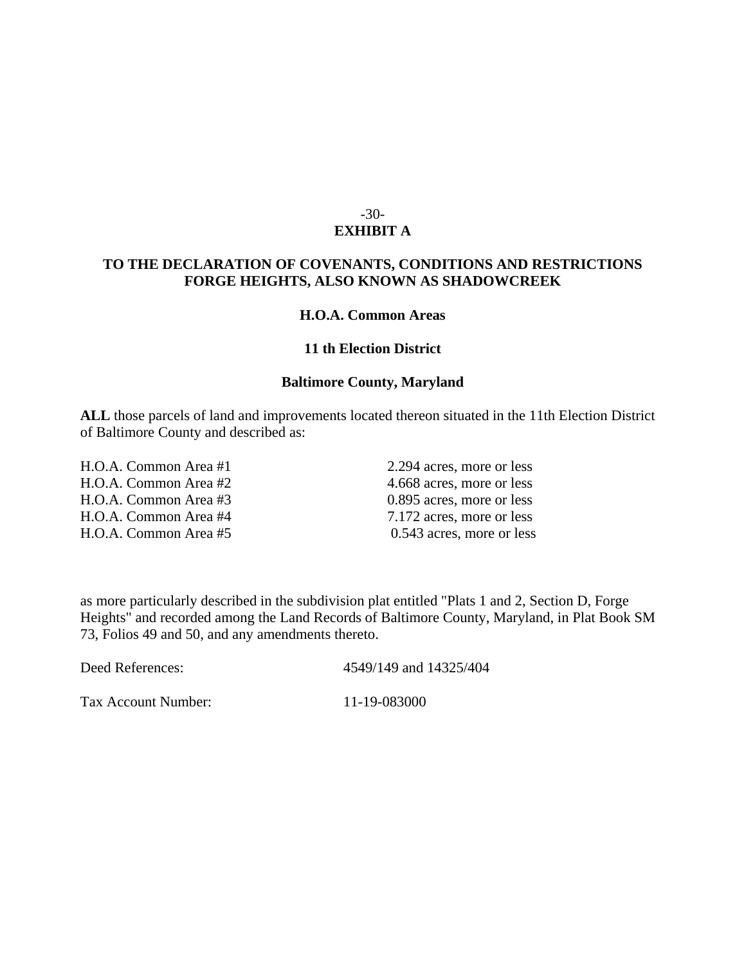#### -30- **EXHIBIT A**

#### **TO THE DECLARATION OF COVENANTS, CONDITIONS AND RESTRICTIONS FORGE HEIGHTS, ALSO KNOWN AS SHADOWCREEK**

#### **H.O.A. Common Areas**

#### **11 th Election District**

#### **Baltimore County, Maryland**

**ALL** those parcels of land and improvements located thereon situated in the 11th Election District of Baltimore County and described as:

H.O.A. Common Area #1 2.294 acres, more or less H.O.A. Common Area #2 4.668 acres, more or less H.O.A. Common Area #3 0.895 acres, more or less H.O.A. Common Area #4 7.172 acres, more or less

H.O.A. Common Area #5 0.543 acres, more or less

as more particularly described in the subdivision plat entitled "Plats 1 and 2, Section D, Forge Heights" and recorded among the Land Records of Baltimore County, Maryland, in Plat Book SM 73, Folios 49 and 50, and any amendments thereto.

Deed References: 4549/149 and 14325/404

Tax Account Number: 11-19-083000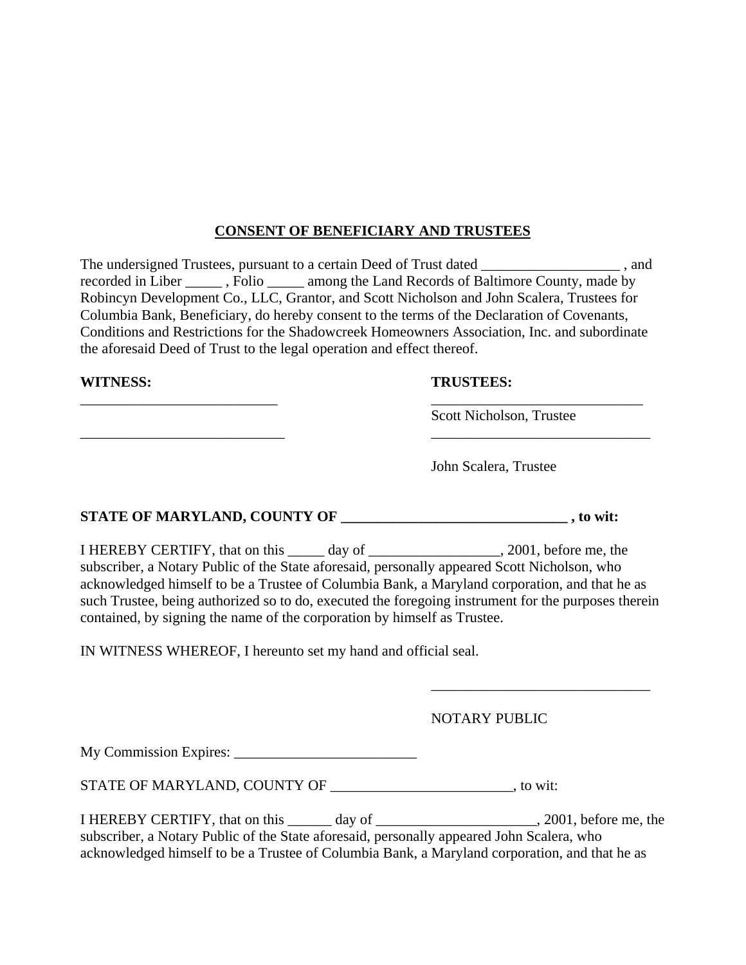# **CONSENT OF BENEFICIARY AND TRUSTEES**

The undersigned Trustees, pursuant to a certain Deed of Trust dated \_\_\_\_\_\_\_\_\_\_\_\_\_\_\_\_\_\_\_\_\_\_, and recorded in Liber \_\_\_\_\_ , Folio \_\_\_\_\_ among the Land Records of Baltimore County, made by Robincyn Development Co., LLC, Grantor, and Scott Nicholson and John Scalera, Trustees for Columbia Bank, Beneficiary, do hereby consent to the terms of the Declaration of Covenants, Conditions and Restrictions for the Shadowcreek Homeowners Association, Inc. and subordinate the aforesaid Deed of Trust to the legal operation and effect thereof.

\_\_\_\_\_\_\_\_\_\_\_\_\_\_\_\_\_\_\_\_\_\_\_\_\_\_\_ \_\_\_\_\_\_\_\_\_\_\_\_\_\_\_\_\_\_\_\_\_\_\_\_\_\_\_\_\_

\_\_\_\_\_\_\_\_\_\_\_\_\_\_\_\_\_\_\_\_\_\_\_\_\_\_\_\_ \_\_\_\_\_\_\_\_\_\_\_\_\_\_\_\_\_\_\_\_\_\_\_\_\_\_\_\_\_\_

#### **WITNESS: TRUSTEES:**

Scott Nicholson, Trustee

John Scalera, Trustee

# STATE OF MARYLAND, COUNTY OF \_\_\_\_\_\_\_\_\_\_\_\_\_\_\_\_\_\_\_\_\_\_\_\_\_\_\_\_\_\_\_\_, to wit:

I HEREBY CERTIFY, that on this day of 3001, before me, the subscriber, a Notary Public of the State aforesaid, personally appeared Scott Nicholson, who acknowledged himself to be a Trustee of Columbia Bank, a Maryland corporation, and that he as such Trustee, being authorized so to do, executed the foregoing instrument for the purposes therein contained, by signing the name of the corporation by himself as Trustee.

 $\overline{\phantom{a}}$  , and the contract of the contract of the contract of the contract of the contract of the contract of the contract of the contract of the contract of the contract of the contract of the contract of the contrac

IN WITNESS WHEREOF, I hereunto set my hand and official seal.

NOTARY PUBLIC

My Commission Expires:

STATE OF MARYLAND, COUNTY OF \_\_\_\_\_\_\_\_\_\_\_\_\_\_\_\_\_\_\_\_\_\_\_\_\_\_\_\_\_\_\_\_\_, to wit:

I HEREBY CERTIFY, that on this day of  $\qquad \qquad$ , 2001, before me, the subscriber, a Notary Public of the State aforesaid, personally appeared John Scalera, who acknowledged himself to be a Trustee of Columbia Bank, a Maryland corporation, and that he as